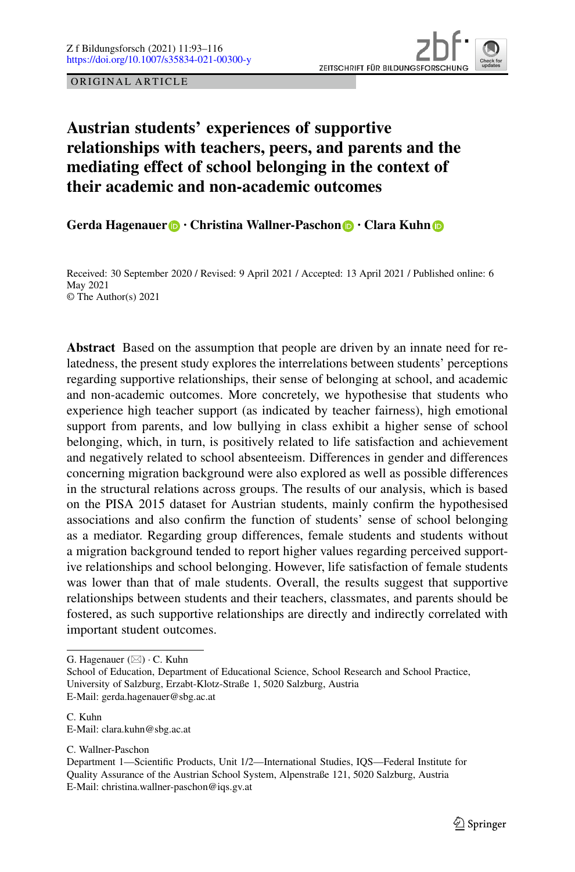ORIGINAL ARTICLE

# **Austrian students' experiences of supportive relationships with teachers, peers, and parents and the mediating effect of school belonging in the context of their academic and non-academic outcomes**

**Gerda Hagenauer · Christina Wallner-Paschon · Clara Kuhn**

Received: 30 September 2020 / Revised: 9 April 2021 / Accepted: 13 April 2021 / Published online: 6 May 2021 © The Author(s) 2021

**Abstract** Based on the assumption that people are driven by an innate need for relatedness, the present study explores the interrelations between students' perceptions regarding supportive relationships, their sense of belonging at school, and academic and non-academic outcomes. More concretely, we hypothesise that students who experience high teacher support (as indicated by teacher fairness), high emotional support from parents, and low bullying in class exhibit a higher sense of school belonging, which, in turn, is positively related to life satisfaction and achievement and negatively related to school absenteeism. Differences in gender and differences concerning migration background were also explored as well as possible differences in the structural relations across groups. The results of our analysis, which is based on the PISA 2015 dataset for Austrian students, mainly confirm the hypothesised associations and also confirm the function of students' sense of school belonging as a mediator. Regarding group differences, female students and students without a migration background tended to report higher values regarding perceived supportive relationships and school belonging. However, life satisfaction of female students was lower than that of male students. Overall, the results suggest that supportive relationships between students and their teachers, classmates, and parents should be fostered, as such supportive relationships are directly and indirectly correlated with important student outcomes.

G. Hagenauer ( $\boxtimes$ ) · C. Kuhn

C. Wallner-Paschon

School of Education, Department of Educational Science, School Research and School Practice, University of Salzburg, Erzabt-Klotz-Straße 1, 5020 Salzburg, Austria E-Mail: gerda.hagenauer@sbg.ac.at

C. Kuhn E-Mail: clara.kuhn@sbg.ac.at

Department 1—Scientific Products, Unit 1/2—International Studies, IQS—Federal Institute for Quality Assurance of the Austrian School System, Alpenstraße 121, 5020 Salzburg, Austria E-Mail: christina.wallner-paschon@iqs.gv.at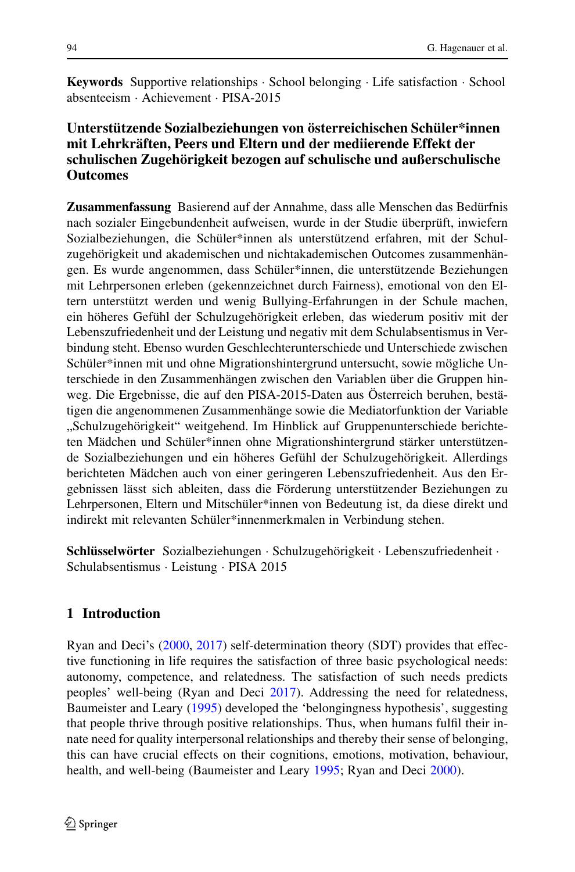**Keywords** Supportive relationships · School belonging · Life satisfaction · School absenteeism · Achievement · PISA-2015

## **Unterstützende Sozialbeziehungen von österreichischen Schüler\*innen mit Lehrkräften, Peers und Eltern und der mediierende Effekt der schulischen Zugehörigkeit bezogen auf schulische und außerschulische Outcomes**

**Zusammenfassung** Basierend auf der Annahme, dass alle Menschen das Bedürfnis nach sozialer Eingebundenheit aufweisen, wurde in der Studie überprüft, inwiefern Sozialbeziehungen, die Schüler\*innen als unterstützend erfahren, mit der Schulzugehörigkeit und akademischen und nichtakademischen Outcomes zusammenhängen. Es wurde angenommen, dass Schüler\*innen, die unterstützende Beziehungen mit Lehrpersonen erleben (gekennzeichnet durch Fairness), emotional von den Eltern unterstützt werden und wenig Bullying-Erfahrungen in der Schule machen, ein höheres Gefühl der Schulzugehörigkeit erleben, das wiederum positiv mit der Lebenszufriedenheit und der Leistung und negativ mit dem Schulabsentismus in Verbindung steht. Ebenso wurden Geschlechterunterschiede und Unterschiede zwischen Schüler\*innen mit und ohne Migrationshintergrund untersucht, sowie mögliche Unterschiede in den Zusammenhängen zwischen den Variablen über die Gruppen hinweg. Die Ergebnisse, die auf den PISA-2015-Daten aus Österreich beruhen, bestätigen die angenommenen Zusammenhänge sowie die Mediatorfunktion der Variable "Schulzugehörigkeit" weitgehend. Im Hinblick auf Gruppenunterschiede berichteten Mädchen und Schüler\*innen ohne Migrationshintergrund stärker unterstützende Sozialbeziehungen und ein höheres Gefühl der Schulzugehörigkeit. Allerdings berichteten Mädchen auch von einer geringeren Lebenszufriedenheit. Aus den Ergebnissen lässt sich ableiten, dass die Förderung unterstützender Beziehungen zu Lehrpersonen, Eltern und Mitschüler\*innen von Bedeutung ist, da diese direkt und indirekt mit relevanten Schüler\*innenmerkmalen in Verbindung stehen.

**Schlüsselwörter** Sozialbeziehungen · Schulzugehörigkeit · Lebenszufriedenheit · Schulabsentismus · Leistung · PISA 2015

## **1 Introduction**

Ryan and Deci's [\(2000,](#page-22-0) [2017\)](#page-22-1) self-determination theory (SDT) provides that effective functioning in life requires the satisfaction of three basic psychological needs: autonomy, competence, and relatedness. The satisfaction of such needs predicts peoples' well-being (Ryan and Deci [2017\)](#page-22-1). Addressing the need for relatedness, Baumeister and Leary [\(1995\)](#page-20-0) developed the 'belongingness hypothesis', suggesting that people thrive through positive relationships. Thus, when humans fulfil their innate need for quality interpersonal relationships and thereby their sense of belonging, this can have crucial effects on their cognitions, emotions, motivation, behaviour, health, and well-being (Baumeister and Leary [1995;](#page-20-0) Ryan and Deci [2000\)](#page-22-0).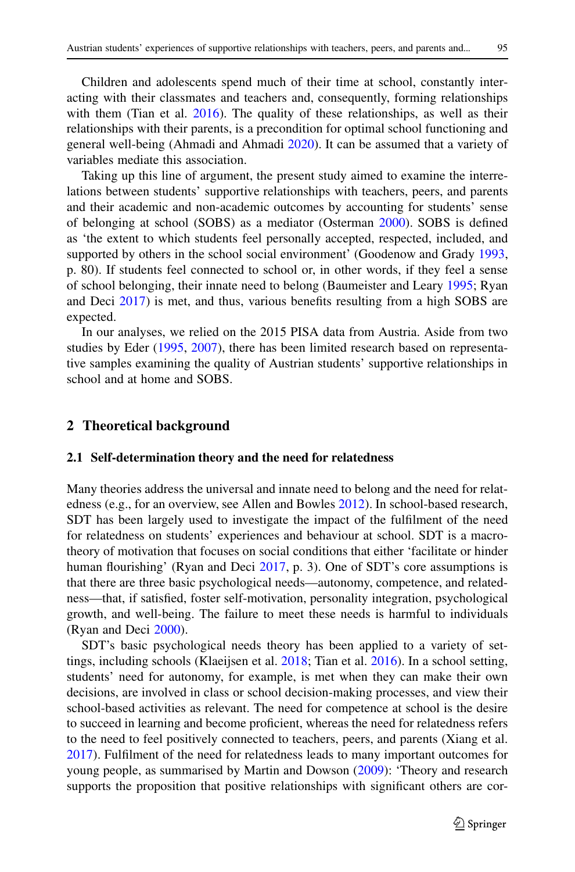Children and adolescents spend much of their time at school, constantly interacting with their classmates and teachers and, consequently, forming relationships with them (Tian et al. [2016\)](#page-22-2). The quality of these relationships, as well as their relationships with their parents, is a precondition for optimal school functioning and general well-being (Ahmadi and Ahmadi [2020\)](#page-20-1). It can be assumed that a variety of variables mediate this association.

Taking up this line of argument, the present study aimed to examine the interrelations between students' supportive relationships with teachers, peers, and parents and their academic and non-academic outcomes by accounting for students' sense of belonging at school (SOBS) as a mediator (Osterman [2000\)](#page-22-3). SOBS is defined as 'the extent to which students feel personally accepted, respected, included, and supported by others in the school social environment' (Goodenow and Grady [1993,](#page-21-0) p. 80). If students feel connected to school or, in other words, if they feel a sense of school belonging, their innate need to belong (Baumeister and Leary [1995;](#page-20-0) Ryan and Deci [2017\)](#page-22-1) is met, and thus, various benefits resulting from a high SOBS are expected.

In our analyses, we relied on the 2015 PISA data from Austria. Aside from two studies by Eder [\(1995,](#page-21-1) [2007\)](#page-21-2), there has been limited research based on representative samples examining the quality of Austrian students' supportive relationships in school and at home and SOBS.

#### **2 Theoretical background**

#### **2.1 Self-determination theory and the need for relatedness**

Many theories address the universal and innate need to belong and the need for relatedness (e.g., for an overview, see Allen and Bowles [2012\)](#page-20-2). In school-based research, SDT has been largely used to investigate the impact of the fulfilment of the need for relatedness on students' experiences and behaviour at school. SDT is a macrotheory of motivation that focuses on social conditions that either 'facilitate or hinder human flourishing' (Ryan and Deci [2017,](#page-22-1) p. 3). One of SDT's core assumptions is that there are three basic psychological needs—autonomy, competence, and relatedness—that, if satisfied, foster self-motivation, personality integration, psychological growth, and well-being. The failure to meet these needs is harmful to individuals (Ryan and Deci [2000\)](#page-22-0).

SDT's basic psychological needs theory has been applied to a variety of settings, including schools (Klaeijsen et al. [2018;](#page-21-3) Tian et al. [2016\)](#page-22-2). In a school setting, students' need for autonomy, for example, is met when they can make their own decisions, are involved in class or school decision-making processes, and view their school-based activities as relevant. The need for competence at school is the desire to succeed in learning and become proficient, whereas the need for relatedness refers to the need to feel positively connected to teachers, peers, and parents (Xiang et al. [2017\)](#page-23-0). Fulfilment of the need for relatedness leads to many important outcomes for young people, as summarised by Martin and Dowson [\(2009\)](#page-22-4): 'Theory and research supports the proposition that positive relationships with significant others are cor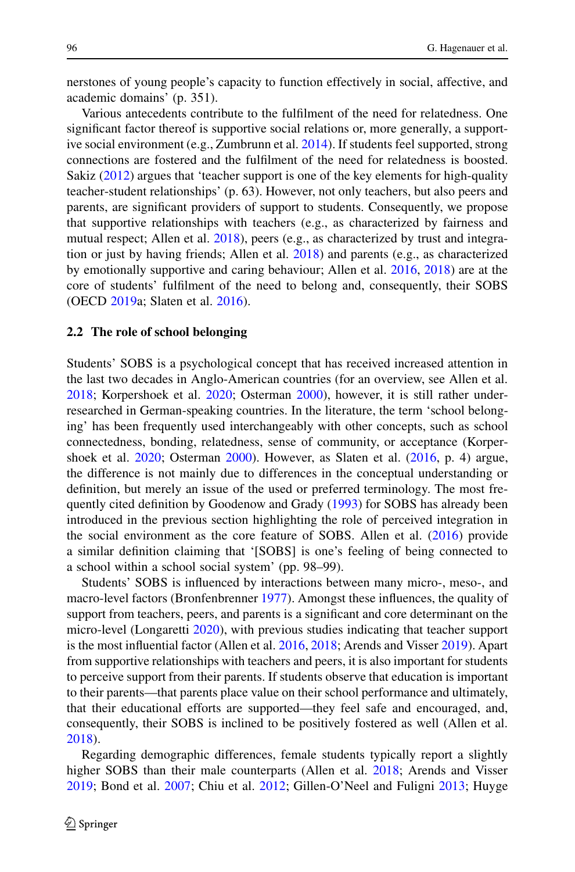nerstones of young people's capacity to function effectively in social, affective, and academic domains' (p. 351).

Various antecedents contribute to the fulfilment of the need for relatedness. One significant factor thereof is supportive social relations or, more generally, a support-ive social environment (e.g., Zumbrunn et al. [2014\)](#page-23-1). If students feel supported, strong connections are fostered and the fulfilment of the need for relatedness is boosted. Sakiz [\(2012\)](#page-22-5) argues that 'teacher support is one of the key elements for high-quality teacher-student relationships' (p. 63). However, not only teachers, but also peers and parents, are significant providers of support to students. Consequently, we propose that supportive relationships with teachers (e.g., as characterized by fairness and mutual respect; Allen et al. [2018\)](#page-20-3), peers (e.g., as characterized by trust and integration or just by having friends; Allen et al.  $2018$ ) and parents (e.g., as characterized by emotionally supportive and caring behaviour; Allen et al. [2016,](#page-20-4) [2018\)](#page-20-3) are at the core of students' fulfilment of the need to belong and, consequently, their SOBS (OECD [2019a](#page-22-6); Slaten et al. [2016\)](#page-22-7).

#### **2.2 The role of school belonging**

Students' SOBS is a psychological concept that has received increased attention in the last two decades in Anglo-American countries (for an overview, see Allen et al. [2018;](#page-20-3) Korpershoek et al. [2020;](#page-21-4) Osterman [2000\)](#page-22-3), however, it is still rather underresearched in German-speaking countries. In the literature, the term 'school belonging' has been frequently used interchangeably with other concepts, such as school connectedness, bonding, relatedness, sense of community, or acceptance (Korpershoek et al. [2020;](#page-21-4) Osterman [2000\)](#page-22-3). However, as Slaten et al. [\(2016,](#page-22-7) p. 4) argue, the difference is not mainly due to differences in the conceptual understanding or definition, but merely an issue of the used or preferred terminology. The most frequently cited definition by Goodenow and Grady [\(1993\)](#page-21-0) for SOBS has already been introduced in the previous section highlighting the role of perceived integration in the social environment as the core feature of SOBS. Allen et al. [\(2016\)](#page-20-4) provide a similar definition claiming that '[SOBS] is one's feeling of being connected to a school within a school social system' (pp. 98–99).

Students' SOBS is influenced by interactions between many micro-, meso-, and macro-level factors (Bronfenbrenner [1977\)](#page-21-5). Amongst these influences, the quality of support from teachers, peers, and parents is a significant and core determinant on the micro-level (Longaretti [2020\)](#page-22-8), with previous studies indicating that teacher support is the most influential factor (Allen et al. [2016,](#page-20-4) [2018;](#page-20-3) Arends and Visser [2019\)](#page-20-5). Apart from supportive relationships with teachers and peers, it is also important for students to perceive support from their parents. If students observe that education is important to their parents—that parents place value on their school performance and ultimately, that their educational efforts are supported—they feel safe and encouraged, and, consequently, their SOBS is inclined to be positively fostered as well (Allen et al. [2018\)](#page-20-3).

Regarding demographic differences, female students typically report a slightly higher SOBS than their male counterparts (Allen et al. [2018;](#page-20-3) Arends and Visser [2019;](#page-20-5) Bond et al. [2007;](#page-21-6) Chiu et al. [2012;](#page-21-7) Gillen-O'Neel and Fuligni [2013;](#page-21-8) Huyge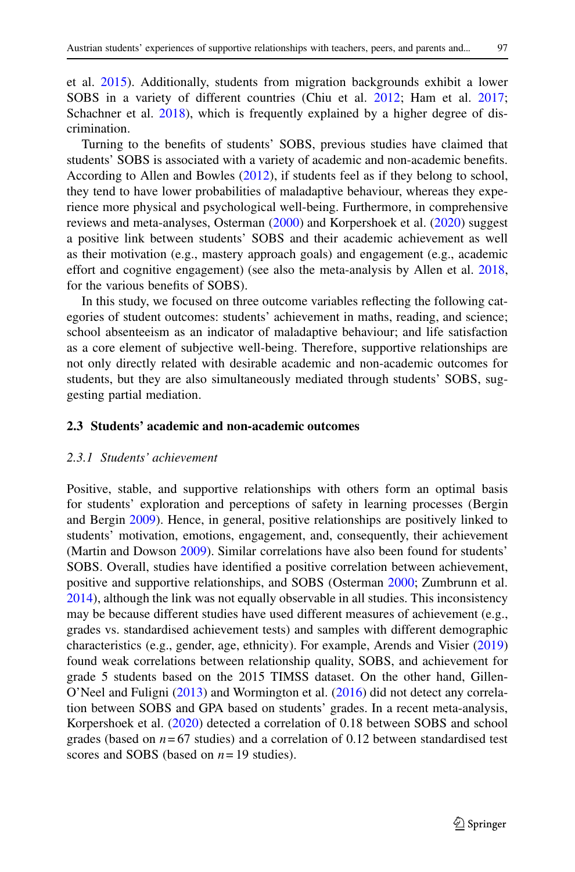et al. [2015\)](#page-21-9). Additionally, students from migration backgrounds exhibit a lower SOBS in a variety of different countries (Chiu et al. [2012;](#page-21-7) Ham et al. [2017;](#page-21-10) Schachner et al. [2018\)](#page-22-9), which is frequently explained by a higher degree of discrimination.

Turning to the benefits of students' SOBS, previous studies have claimed that students' SOBS is associated with a variety of academic and non-academic benefits. According to Allen and Bowles [\(2012\)](#page-20-2), if students feel as if they belong to school, they tend to have lower probabilities of maladaptive behaviour, whereas they experience more physical and psychological well-being. Furthermore, in comprehensive reviews and meta-analyses, Osterman [\(2000\)](#page-22-3) and Korpershoek et al. [\(2020\)](#page-21-4) suggest a positive link between students' SOBS and their academic achievement as well as their motivation (e.g., mastery approach goals) and engagement (e.g., academic effort and cognitive engagement) (see also the meta-analysis by Allen et al. [2018,](#page-20-3) for the various benefits of SOBS).

In this study, we focused on three outcome variables reflecting the following categories of student outcomes: students' achievement in maths, reading, and science; school absenteeism as an indicator of maladaptive behaviour; and life satisfaction as a core element of subjective well-being. Therefore, supportive relationships are not only directly related with desirable academic and non-academic outcomes for students, but they are also simultaneously mediated through students' SOBS, suggesting partial mediation.

## **2.3 Students' academic and non-academic outcomes**

## *2.3.1 Students' achievement*

Positive, stable, and supportive relationships with others form an optimal basis for students' exploration and perceptions of safety in learning processes (Bergin and Bergin [2009\)](#page-21-11). Hence, in general, positive relationships are positively linked to students' motivation, emotions, engagement, and, consequently, their achievement (Martin and Dowson [2009\)](#page-22-4). Similar correlations have also been found for students' SOBS. Overall, studies have identified a positive correlation between achievement, positive and supportive relationships, and SOBS (Osterman [2000;](#page-22-3) Zumbrunn et al. [2014\)](#page-23-1), although the link was not equally observable in all studies. This inconsistency may be because different studies have used different measures of achievement (e.g., grades vs. standardised achievement tests) and samples with different demographic characteristics (e.g., gender, age, ethnicity). For example, Arends and Visier [\(2019\)](#page-20-5) found weak correlations between relationship quality, SOBS, and achievement for grade 5 students based on the 2015 TIMSS dataset. On the other hand, Gillen-O'Neel and Fuligni [\(2013\)](#page-21-8) and Wormington et al. [\(2016\)](#page-23-2) did not detect any correlation between SOBS and GPA based on students' grades. In a recent meta-analysis, Korpershoek et al. [\(2020\)](#page-21-4) detected a correlation of 0.18 between SOBS and school grades (based on  $n = 67$  studies) and a correlation of 0.12 between standardised test scores and SOBS (based on *n*= 19 studies).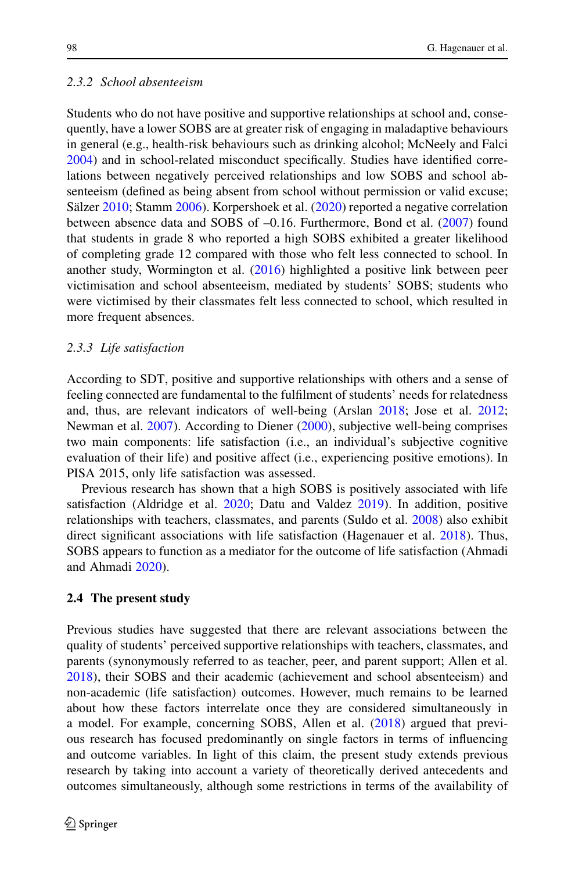## *2.3.2 School absenteeism*

Students who do not have positive and supportive relationships at school and, consequently, have a lower SOBS are at greater risk of engaging in maladaptive behaviours in general (e.g., health-risk behaviours such as drinking alcohol; McNeely and Falci [2004\)](#page-22-10) and in school-related misconduct specifically. Studies have identified correlations between negatively perceived relationships and low SOBS and school absenteeism (defined as being absent from school without permission or valid excuse; Sälzer [2010;](#page-22-11) Stamm [2006\)](#page-22-12). Korpershoek et al. [\(2020\)](#page-21-4) reported a negative correlation between absence data and SOBS of –0.16. Furthermore, Bond et al. [\(2007\)](#page-21-6) found that students in grade 8 who reported a high SOBS exhibited a greater likelihood of completing grade 12 compared with those who felt less connected to school. In another study, Wormington et al. [\(2016\)](#page-23-2) highlighted a positive link between peer victimisation and school absenteeism, mediated by students' SOBS; students who were victimised by their classmates felt less connected to school, which resulted in more frequent absences.

#### *2.3.3 Life satisfaction*

According to SDT, positive and supportive relationships with others and a sense of feeling connected are fundamental to the fulfilment of students' needs for relatedness and, thus, are relevant indicators of well-being (Arslan [2018;](#page-20-6) Jose et al. [2012;](#page-21-12) Newman et al. [2007\)](#page-22-13). According to Diener [\(2000\)](#page-21-13), subjective well-being comprises two main components: life satisfaction (i.e., an individual's subjective cognitive evaluation of their life) and positive affect (i.e., experiencing positive emotions). In PISA 2015, only life satisfaction was assessed.

Previous research has shown that a high SOBS is positively associated with life satisfaction (Aldridge et al. [2020;](#page-20-7) Datu and Valdez [2019\)](#page-21-14). In addition, positive relationships with teachers, classmates, and parents (Suldo et al. [2008\)](#page-22-14) also exhibit direct significant associations with life satisfaction (Hagenauer et al. [2018\)](#page-21-15). Thus, SOBS appears to function as a mediator for the outcome of life satisfaction (Ahmadi and Ahmadi [2020\)](#page-20-1).

#### **2.4 The present study**

Previous studies have suggested that there are relevant associations between the quality of students' perceived supportive relationships with teachers, classmates, and parents (synonymously referred to as teacher, peer, and parent support; Allen et al. [2018\)](#page-20-3), their SOBS and their academic (achievement and school absenteeism) and non-academic (life satisfaction) outcomes. However, much remains to be learned about how these factors interrelate once they are considered simultaneously in a model. For example, concerning SOBS, Allen et al. [\(2018\)](#page-20-3) argued that previous research has focused predominantly on single factors in terms of influencing and outcome variables. In light of this claim, the present study extends previous research by taking into account a variety of theoretically derived antecedents and outcomes simultaneously, although some restrictions in terms of the availability of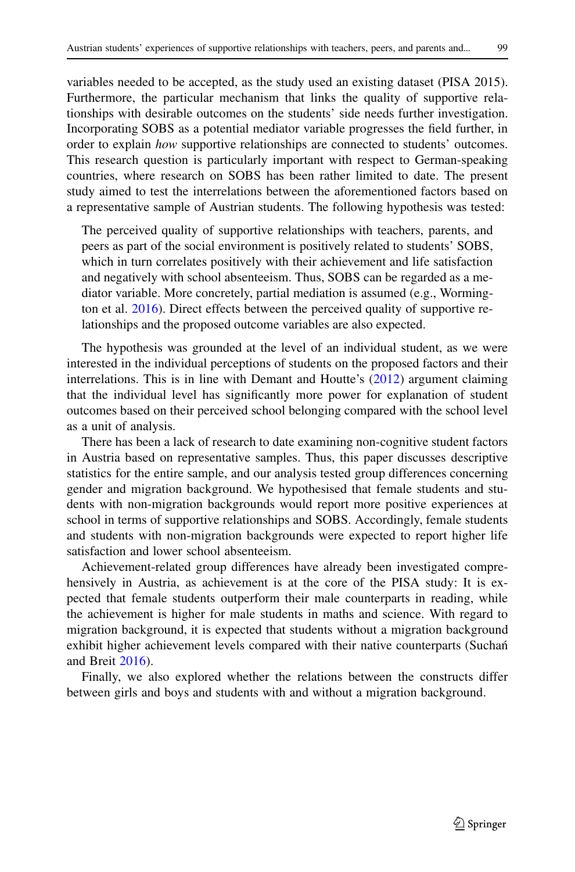variables needed to be accepted, as the study used an existing dataset (PISA 2015). Furthermore, the particular mechanism that links the quality of supportive relationships with desirable outcomes on the students' side needs further investigation. Incorporating SOBS as a potential mediator variable progresses the field further, in order to explain *how* supportive relationships are connected to students' outcomes. This research question is particularly important with respect to German-speaking countries, where research on SOBS has been rather limited to date. The present study aimed to test the interrelations between the aforementioned factors based on a representative sample of Austrian students. The following hypothesis was tested:

The perceived quality of supportive relationships with teachers, parents, and peers as part of the social environment is positively related to students' SOBS, which in turn correlates positively with their achievement and life satisfaction and negatively with school absenteeism. Thus, SOBS can be regarded as a mediator variable. More concretely, partial mediation is assumed (e.g., Wormington et al. [2016\)](#page-23-2). Direct effects between the perceived quality of supportive relationships and the proposed outcome variables are also expected.

The hypothesis was grounded at the level of an individual student, as we were interested in the individual perceptions of students on the proposed factors and their interrelations. This is in line with Demant and Houtte's [\(2012\)](#page-21-16) argument claiming that the individual level has significantly more power for explanation of student outcomes based on their perceived school belonging compared with the school level as a unit of analysis.

There has been a lack of research to date examining non-cognitive student factors in Austria based on representative samples. Thus, this paper discusses descriptive statistics for the entire sample, and our analysis tested group differences concerning gender and migration background. We hypothesised that female students and students with non-migration backgrounds would report more positive experiences at school in terms of supportive relationships and SOBS. Accordingly, female students and students with non-migration backgrounds were expected to report higher life satisfaction and lower school absenteeism.

Achievement-related group differences have already been investigated comprehensively in Austria, as achievement is at the core of the PISA study: It is expected that female students outperform their male counterparts in reading, while the achievement is higher for male students in maths and science. With regard to migration background, it is expected that students without a migration background exhibit higher achievement levels compared with their native counterparts (Suchan^ and Breit [2016\)](#page-22-15).

Finally, we also explored whether the relations between the constructs differ between girls and boys and students with and without a migration background.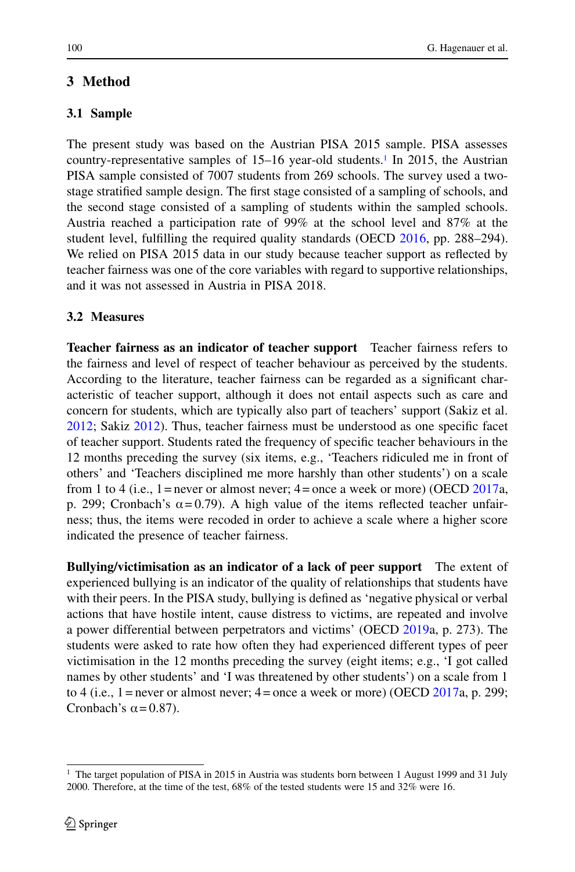## **3 Method**

## **3.1 Sample**

The present study was based on the Austrian PISA 2015 sample. PISA assesses country-representative samples of  $15-16$  year-old students.<sup>1</sup> In 2015, the Austrian PISA sample consisted of 7007 students from 269 schools. The survey used a twostage stratified sample design. The first stage consisted of a sampling of schools, and the second stage consisted of a sampling of students within the sampled schools. Austria reached a participation rate of 99% at the school level and 87% at the student level, fulfilling the required quality standards (OECD [2016,](#page-22-16) pp. 288–294). We relied on PISA 2015 data in our study because teacher support as reflected by teacher fairness was one of the core variables with regard to supportive relationships, and it was not assessed in Austria in PISA 2018.

## **3.2 Measures**

**Teacher fairness as an indicator of teacher support** Teacher fairness refers to the fairness and level of respect of teacher behaviour as perceived by the students. According to the literature, teacher fairness can be regarded as a significant characteristic of teacher support, although it does not entail aspects such as care and concern for students, which are typically also part of teachers' support (Sakiz et al. [2012;](#page-22-17) Sakiz [2012\)](#page-22-5). Thus, teacher fairness must be understood as one specific facet of teacher support. Students rated the frequency of specific teacher behaviours in the 12 months preceding the survey (six items, e.g., 'Teachers ridiculed me in front of others' and 'Teachers disciplined me more harshly than other students') on a scale from 1 to 4 (i.e.,  $1 =$  never or almost never;  $4 =$  once a week or more) (OECD [2017a](#page-22-18), p. 299; Cronbach's  $\alpha$  = 0.79). A high value of the items reflected teacher unfairness; thus, the items were recoded in order to achieve a scale where a higher score indicated the presence of teacher fairness.

**Bullying/victimisation as an indicator of a lack of peer support** The extent of experienced bullying is an indicator of the quality of relationships that students have with their peers. In the PISA study, bullying is defined as 'negative physical or verbal actions that have hostile intent, cause distress to victims, are repeated and involve a power differential between perpetrators and victims' (OECD [2019a](#page-22-6), p. 273). The students were asked to rate how often they had experienced different types of peer victimisation in the 12 months preceding the survey (eight items; e.g., 'I got called names by other students' and 'I was threatened by other students') on a scale from 1 to 4 (i.e., 1 = never or almost never;  $4$  = once a week or more) (OECD [2017a](#page-22-18), p. 299; Cronbach's  $\alpha$  = 0.87).

<span id="page-7-0"></span><sup>&</sup>lt;sup>1</sup> The target population of PISA in 2015 in Austria was students born between 1 August 1999 and 31 July 2000. Therefore, at the time of the test, 68% of the tested students were 15 and 32% were 16.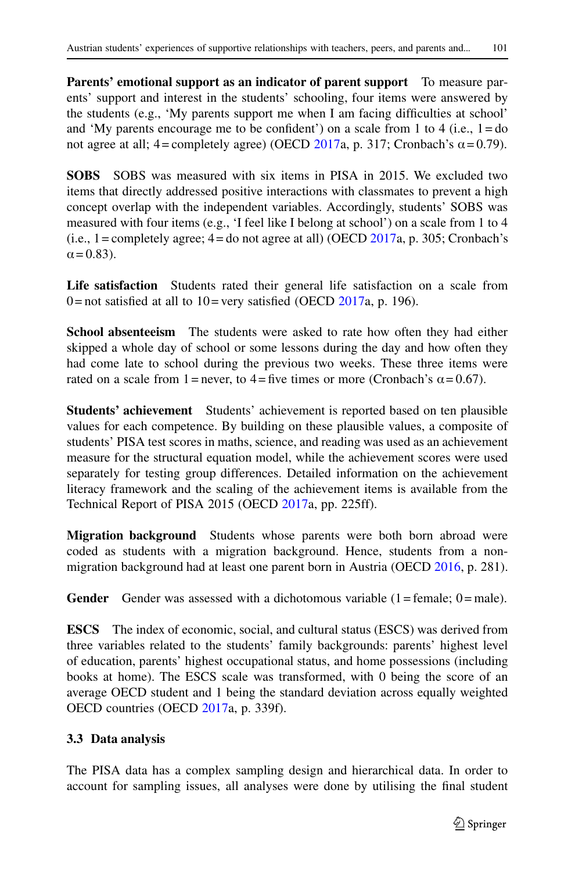**Parents' emotional support as an indicator of parent support** To measure parents' support and interest in the students' schooling, four items were answered by the students (e.g., 'My parents support me when I am facing difficulties at school' and 'My parents encourage me to be confident') on a scale from 1 to 4 (i.e.,  $1 =$ do not agree at all; 4 = completely agree) (OECD [2017a](#page-22-18), p. 317; Cronbach's α = 0.79).

**SOBS** SOBS was measured with six items in PISA in 2015. We excluded two items that directly addressed positive interactions with classmates to prevent a high concept overlap with the independent variables. Accordingly, students' SOBS was measured with four items (e.g., 'I feel like I belong at school') on a scale from 1 to 4  $(i.e., 1 = \text{completely agree}; 4 = \text{do not agree at all})$  (OECD [2017a](#page-22-18), p. 305; Cronbach's  $\alpha$  = 0.83).

**Life satisfaction** Students rated their general life satisfaction on a scale from 0 = not satisfied at all to  $10$  = very satisfied (OECD [2017a](#page-22-18), p. 196).

**School absenteeism** The students were asked to rate how often they had either skipped a whole day of school or some lessons during the day and how often they had come late to school during the previous two weeks. These three items were rated on a scale from 1 = never, to 4 = five times or more (Cronbach's  $\alpha$  = 0.67).

**Students' achievement** Students' achievement is reported based on ten plausible values for each competence. By building on these plausible values, a composite of students' PISA test scores in maths, science, and reading was used as an achievement measure for the structural equation model, while the achievement scores were used separately for testing group differences. Detailed information on the achievement literacy framework and the scaling of the achievement items is available from the Technical Report of PISA 2015 (OECD [2017a](#page-22-18), pp. 225ff).

**Migration background** Students whose parents were both born abroad were coded as students with a migration background. Hence, students from a nonmigration background had at least one parent born in Austria (OECD [2016,](#page-22-16) p. 281).

**Gender** Gender was assessed with a dichotomous variable  $(1 = \text{female})$ .  $(0 = \text{male})$ .

**ESCS** The index of economic, social, and cultural status (ESCS) was derived from three variables related to the students' family backgrounds: parents' highest level of education, parents' highest occupational status, and home possessions (including books at home). The ESCS scale was transformed, with 0 being the score of an average OECD student and 1 being the standard deviation across equally weighted OECD countries (OECD [2017a](#page-22-18), p. 339f).

## **3.3 Data analysis**

The PISA data has a complex sampling design and hierarchical data. In order to account for sampling issues, all analyses were done by utilising the final student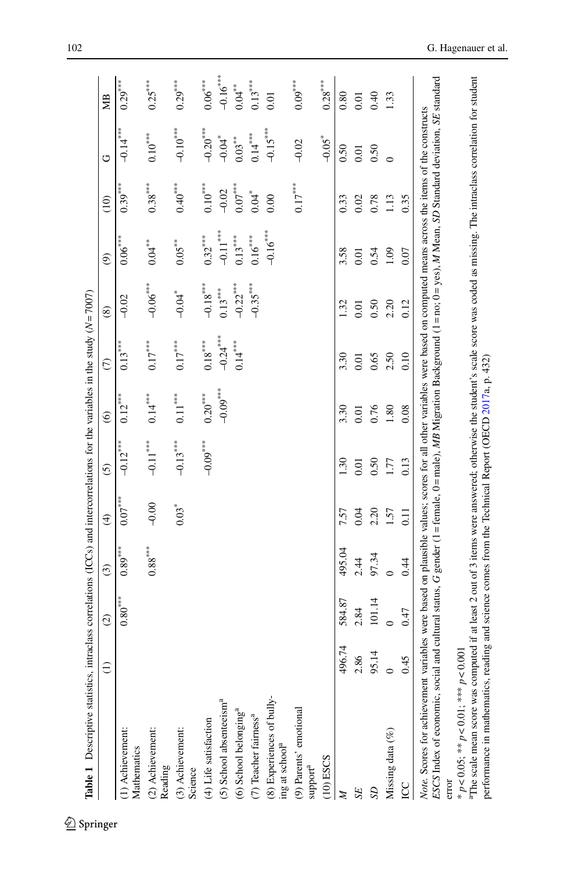<span id="page-9-0"></span>

| Table 1 Descriptive statistics, intraclass correlations (ICCs) and intercorrelations for the variables in the study $(N = 7007)$                                                                                                                                                                                                                    |                 |                       |                       |               |               |                        |                       |                      |                          |                     |                        |                |
|-----------------------------------------------------------------------------------------------------------------------------------------------------------------------------------------------------------------------------------------------------------------------------------------------------------------------------------------------------|-----------------|-----------------------|-----------------------|---------------|---------------|------------------------|-----------------------|----------------------|--------------------------|---------------------|------------------------|----------------|
|                                                                                                                                                                                                                                                                                                                                                     | $\widehat{\Xi}$ | $\widehat{c}$         | $\widehat{c}$         | $\widehat{E}$ | $\widehat{c}$ | $\widehat{\mathbf{e}}$ | $\widehat{C}$         | $\circledS$          | $\widehat{\mathfrak{S}}$ | $\approx$           | O                      | ЯØ             |
| (1) Achievement:<br>Mathematics                                                                                                                                                                                                                                                                                                                     |                 | $0.80^{\ast\ast\ast}$ | $0.89^{\ast\ast\ast}$ | $0.07***$     | $-0.12***$    | $0.12***$              | $0.13***$             | $-0.02$              | $0.06^{***}$             | $0.39***$           | $-0.14***$             | $0.29***$      |
| (2) Achievement:<br>Reading                                                                                                                                                                                                                                                                                                                         |                 |                       | $0.88^{\ast\ast\ast}$ | $-0.00$       | $-0.11***$    | $0.14***$              | $0.17^{***}$          | $-0.06***$           | $0.04***$                | $0.38***$           | $0.10^{***}$           | $0.25***$      |
| (3) Achievement:<br>Science                                                                                                                                                                                                                                                                                                                         |                 |                       |                       | $0.03*$       | $-0.13***$    | $0.11^{\ast\ast\ast}$  | $0.17^{***}$          | $-0.04$ <sup>*</sup> | $0.05^{**}$              | $0.40***$           | $-0.10$ <sup>***</sup> | $0.29***$      |
| (4) Life satisfaction                                                                                                                                                                                                                                                                                                                               |                 |                       |                       |               | $-0.09***$    | $0.20^{***}$           | $0.18^{\ast\ast\ast}$ | $-0.18***$           | $0.32***$                | $0.10^{***}$        | $-0.20$ ***            | $0.06^{***}$   |
| (5) School absenteeism <sup>a</sup>                                                                                                                                                                                                                                                                                                                 |                 |                       |                       |               |               | $-0.09***$             | $-0.24***$            | $0.13***$            | $-0.11***$               | $-0.02$             | $-0.04$ <sup>*</sup>   | $-0.16***$     |
| (6) School belonging <sup>a</sup>                                                                                                                                                                                                                                                                                                                   |                 |                       |                       |               |               |                        | $0.14^{***}$          | $-0.22***$           | $0.13***$                | $0.07^{***}$        | $0.03***$              | $0.04***$      |
| (7) Teacher fairness <sup>a</sup>                                                                                                                                                                                                                                                                                                                   |                 |                       |                       |               |               |                        |                       | $-0.35***$           | $0.16***$                | $0.04$ <sup>*</sup> | $0.14***$              | $0.13^{***}$   |
| (8) Experiences of bully-<br>ing at school <sup>a</sup>                                                                                                                                                                                                                                                                                             |                 |                       |                       |               |               |                        |                       |                      | $-0.16$ ***              | 0.00                | $-0.15***$             | 0.01           |
| (9) Parents' emotional<br>$\mbox{support}^{\mbox{a}}$                                                                                                                                                                                                                                                                                               |                 |                       |                       |               |               |                        |                       |                      |                          | $0.17***$           | $-0.02$                | $0.09^{***}\,$ |
| $(10)$ ESCS                                                                                                                                                                                                                                                                                                                                         |                 |                       |                       |               |               |                        |                       |                      |                          |                     | $-0.05$ <sup>*</sup>   | $0.28***$      |
| Z                                                                                                                                                                                                                                                                                                                                                   | 496.74          | 584.87                | 495.04                | 7.57          | 1.30          | 3.30                   | 3.30                  | 1.32                 | 3.58                     | 0.33                | 0.50                   | 0.80           |
| SE                                                                                                                                                                                                                                                                                                                                                  | 2.86            | 2.84                  | 2.44                  | 0.04          | 0.01          | 0.01                   | 0.01                  | 0.01                 | 0.01                     | 0.02                | 0.01                   | 0.01           |
| SD <sub>1</sub>                                                                                                                                                                                                                                                                                                                                     | 95.14           | 101.14                | 97.34                 | 2.20          | 0.50          | 0.76                   | 0.65                  | 0.50                 | 0.54                     | 0.78                | 0.50                   | 0.40           |
| Missing data (%)                                                                                                                                                                                                                                                                                                                                    |                 | $\circ$               |                       | 1.57          | 177           | 1.80                   | 2.50                  | 2.20                 | 1.09                     | 1.13                | $\circ$                | 1.33           |
| g                                                                                                                                                                                                                                                                                                                                                   | 0.45            | 0.47                  | 0.44                  | 0.11          | 0.13          | 0.08                   | 0.10                  | 0.12                 | 0.07                     | 0.35                |                        |                |
| ESCS Index of economic, social and cultural status, G gender (1 = female, 0 = male), MB Migration Background (1 = no; 0 = yes), M Mean, SD Standard deviation, SE standard<br>Note. Scores for achievement variables were based on plausible values; scores for all other variables were based on computed means across the items of the constructs |                 |                       |                       |               |               |                        |                       |                      |                          |                     |                        |                |
| * $p < 0.05$ ; ** $p < 0.01$ ; *** $p < 0.001$<br>error                                                                                                                                                                                                                                                                                             |                 |                       |                       |               |               |                        |                       |                      |                          |                     |                        |                |
| The scale mean score was computed if at least 2 out of 3 items were answered; otherwise the student's scale score was coded as missing. The intraclass correlation for student<br>performance in mathematics, reading and science comes from the Technical Report (OECD $2017a$ , p. 432)                                                           |                 |                       |                       |               |               |                        |                       |                      |                          |                     |                        |                |
|                                                                                                                                                                                                                                                                                                                                                     |                 |                       |                       |               |               |                        |                       |                      |                          |                     |                        |                |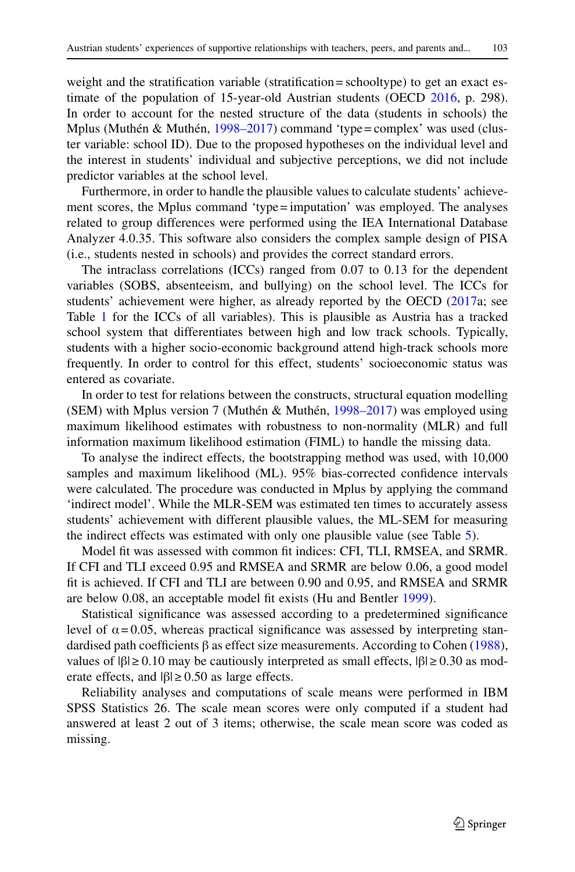weight and the stratification variable (stratification = schooltype) to get an exact estimate of the population of 15-year-old Austrian students (OECD [2016,](#page-22-16) p. 298). In order to account for the nested structure of the data (students in schools) the Mplus (Muthén & Muthén, [1998–2017\)](#page-22-19) command 'type = complex' was used (cluster variable: school ID). Due to the proposed hypotheses on the individual level and the interest in students' individual and subjective perceptions, we did not include predictor variables at the school level.

Furthermore, in order to handle the plausible values to calculate students' achievement scores, the Mplus command 'type = imputation' was employed. The analyses related to group differences were performed using the IEA International Database Analyzer 4.0.35. This software also considers the complex sample design of PISA (i.e., students nested in schools) and provides the correct standard errors.

The intraclass correlations (ICCs) ranged from 0.07 to 0.13 for the dependent variables (SOBS, absenteeism, and bullying) on the school level. The ICCs for students' achievement were higher, as already reported by the OECD [\(2017a](#page-22-18); see Table [1](#page-9-0) for the ICCs of all variables). This is plausible as Austria has a tracked school system that differentiates between high and low track schools. Typically, students with a higher socio-economic background attend high-track schools more frequently. In order to control for this effect, students' socioeconomic status was entered as covariate.

In order to test for relations between the constructs, structural equation modelling (SEM) with Mplus version 7 (Muthén & Muthén, [1998–2017\)](#page-22-19) was employed using maximum likelihood estimates with robustness to non-normality (MLR) and full information maximum likelihood estimation (FIML) to handle the missing data.

To analyse the indirect effects, the bootstrapping method was used, with 10,000 samples and maximum likelihood (ML). 95% bias-corrected confidence intervals were calculated. The procedure was conducted in Mplus by applying the command 'indirect model'. While the MLR-SEM was estimated ten times to accurately assess students' achievement with different plausible values, the ML-SEM for measuring the indirect effects was estimated with only one plausible value (see Table [5\)](#page-15-0).

Model fit was assessed with common fit indices: CFI, TLI, RMSEA, and SRMR. If CFI and TLI exceed 0.95 and RMSEA and SRMR are below 0.06, a good model fit is achieved. If CFI and TLI are between 0.90 and 0.95, and RMSEA and SRMR are below 0.08, an acceptable model fit exists (Hu and Bentler [1999\)](#page-21-17).

Statistical significance was assessed according to a predetermined significance level of  $\alpha$  = 0.05, whereas practical significance was assessed by interpreting standardised path coefficients β as effect size measurements. According to Cohen [\(1988\)](#page-21-18), values of  $|β| ≥ 0.10$  may be cautiously interpreted as small effects,  $|β| ≥ 0.30$  as moderate effects, and  $|\beta| \ge 0.50$  as large effects.

Reliability analyses and computations of scale means were performed in IBM SPSS Statistics 26. The scale mean scores were only computed if a student had answered at least 2 out of 3 items; otherwise, the scale mean score was coded as missing.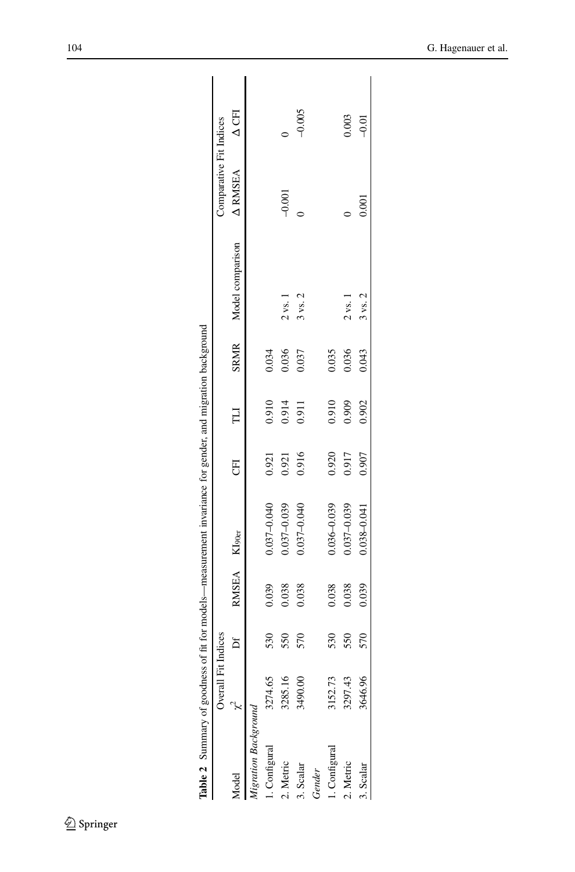|                      | Overall Fit Indices |     |                          |                 |       |        |       |                          | Comparative Fit Indices           |          |
|----------------------|---------------------|-----|--------------------------|-----------------|-------|--------|-------|--------------------------|-----------------------------------|----------|
| Andel                |                     |     | RMSEA KI <sub>90er</sub> |                 | E     | $\Box$ |       | SRMR<br>Model comparison | $\triangle$ RMSEA $\triangle$ CFI |          |
| ligration Background |                     |     |                          |                 |       |        |       |                          |                                   |          |
| 1. Configural        | 3274.65             | 530 | 0.039                    | 0.037-0.040     | 0.921 | 0.910  | 0.034 |                          |                                   |          |
| 2. Metric            | 3285.16             | 550 | 0.038                    | 0.037-0.039     | 0.921 | 0.914  | 0.036 | $2$ vs. $1$              | $-0.001$                          |          |
| 3. Scalar            | 3490.00             | 570 | 0.038                    | 0.037-0.040     | 0.916 | 0.911  | 0.037 | $3$ vs. $2$              |                                   | $-0.005$ |
| Gender               |                     |     |                          |                 |       |        |       |                          |                                   |          |
| Configural           | 3152.73             | 530 | 0.038                    | $0.036 - 0.039$ | 0.920 | 0.910  | 0.035 |                          |                                   |          |
| 2. Metric            | 3297.43             | 550 | 0.038                    | 0.037-0.039     | 0.917 | 0.909  | 0.036 | $2$ vs. $1$              |                                   | 0.003    |
| Scalar               | 3646.96             | 570 | 0.039                    | $0.038 - 0.041$ | 0.907 | 0.902  | 0.043 | $3$ vs. $2$              | 0.001                             | $-0.01$  |

<span id="page-11-0"></span>l,  $\overline{a}$  $\overline{a}$  $\overline{\mathbf{C}}$  $\epsilon$ t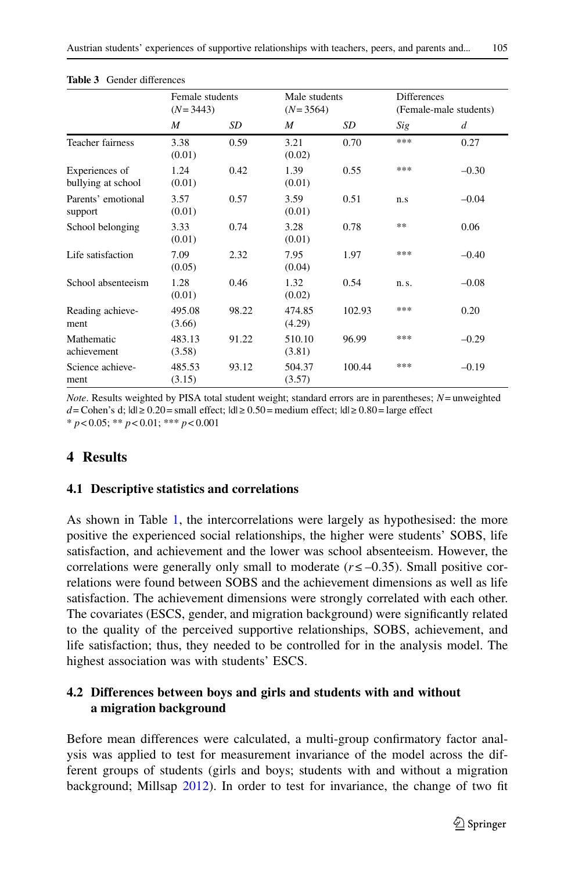<span id="page-12-0"></span>

| <b>Table 3</b> Gender differences    |                               |       |                             |        |                    |                        |
|--------------------------------------|-------------------------------|-------|-----------------------------|--------|--------------------|------------------------|
|                                      | Female students<br>$(N=3443)$ |       | Male students<br>$(N=3564)$ |        | <b>Differences</b> | (Female-male students) |
|                                      | M                             | SD    | M                           | SD     | Sig                | d                      |
| Teacher fairness                     | 3.38<br>(0.01)                | 0.59  | 3.21<br>(0.02)              | 0.70   | ***                | 0.27                   |
| Experiences of<br>bullying at school | 1.24<br>(0.01)                | 0.42  | 1.39<br>(0.01)              | 0.55   | ***                | $-0.30$                |
| Parents' emotional<br>support        | 3.57<br>(0.01)                | 0.57  | 3.59<br>(0.01)              | 0.51   | n.s                | $-0.04$                |
| School belonging                     | 3.33<br>(0.01)                | 0.74  | 3.28<br>(0.01)              | 0.78   | **                 | 0.06                   |
| Life satisfaction                    | 7.09<br>(0.05)                | 2.32  | 7.95<br>(0.04)              | 1.97   | ***                | $-0.40$                |
| School absenteeism                   | 1.28<br>(0.01)                | 0.46  | 1.32<br>(0.02)              | 0.54   | n.s.               | $-0.08$                |
| Reading achieve-<br>ment             | 495.08<br>(3.66)              | 98.22 | 474.85<br>(4.29)            | 102.93 | ***                | 0.20                   |
| Mathematic                           | 483.13                        | 91.22 | 510.10                      | 96.99  | ***                | $-0.29$                |

*Note*. Results weighted by PISA total student weight; standard errors are in parentheses; *N*= unweighted *d* = Cohen's d;  $|d|$  ≥ 0.20 = small effect;  $|d|$  ≥ 0.50 = medium effect;  $|d|$  ≥ 0.80 = large effect \* *p*< 0.05; \*\* *p*< 0.01; \*\*\* *p*< 0.001

(3.81)

100.44 \*\*\* –0.19

(3.57)

93.12 504.37

## **4 Results**

Mathematic achievement

ment

Science achieve-

#### **4.1 Descriptive statistics and correlations**

483.13 (3.58)

485.53 (3.15)

As shown in Table [1,](#page-9-0) the intercorrelations were largely as hypothesised: the more positive the experienced social relationships, the higher were students' SOBS, life satisfaction, and achievement and the lower was school absenteeism. However, the correlations were generally only small to moderate  $(r \le -0.35)$ . Small positive correlations were found between SOBS and the achievement dimensions as well as life satisfaction. The achievement dimensions were strongly correlated with each other. The covariates (ESCS, gender, and migration background) were significantly related to the quality of the perceived supportive relationships, SOBS, achievement, and life satisfaction; thus, they needed to be controlled for in the analysis model. The highest association was with students' ESCS.

## **4.2 Differences between boys and girls and students with and without a migration background**

Before mean differences were calculated, a multi-group confirmatory factor analysis was applied to test for measurement invariance of the model across the different groups of students (girls and boys; students with and without a migration background; Millsap [2012\)](#page-22-20). In order to test for invariance, the change of two fit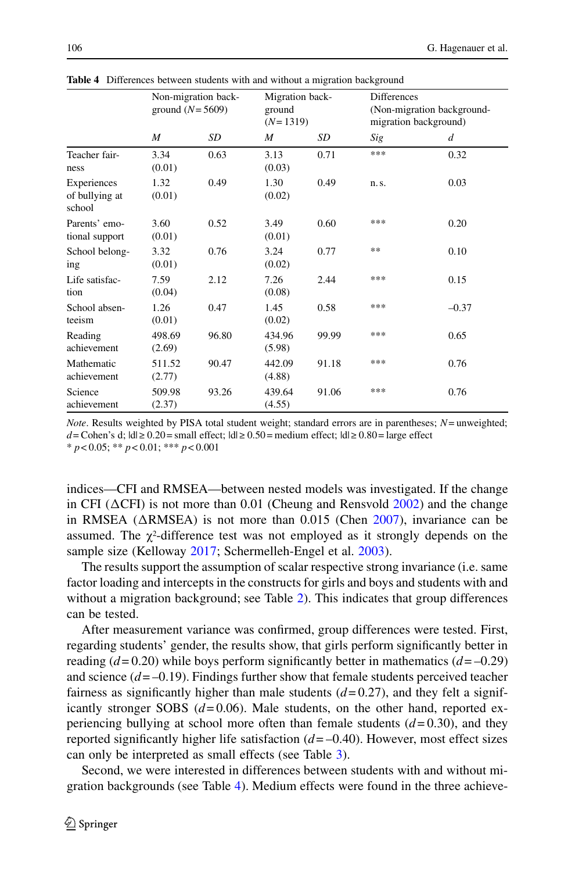|                                         | ground $(N=5609)$ | Non-migration back- | Migration back-<br>ground<br>$(N=1319)$ |       | <b>Differences</b> | (Non-migration background-<br>migration background) |
|-----------------------------------------|-------------------|---------------------|-----------------------------------------|-------|--------------------|-----------------------------------------------------|
|                                         | M                 | SD                  | M                                       | SD    | Sig                | $\overline{d}$                                      |
| Teacher fair-<br>ness                   | 3.34<br>(0.01)    | 0.63                | 3.13<br>(0.03)                          | 0.71  | ***                | 0.32                                                |
| Experiences<br>of bullying at<br>school | 1.32<br>(0.01)    | 0.49                | 1.30<br>(0.02)                          | 0.49  | n. s.              | 0.03                                                |
| Parents' emo-<br>tional support         | 3.60<br>(0.01)    | 0.52                | 3.49<br>(0.01)                          | 0.60  | ***                | 0.20                                                |
| School belong-<br>ing                   | 3.32<br>(0.01)    | 0.76                | 3.24<br>(0.02)                          | 0.77  | **                 | 0.10                                                |
| Life satisfac-<br>tion                  | 7.59<br>(0.04)    | 2.12                | 7.26<br>(0.08)                          | 2.44  | ***                | 0.15                                                |
| School absen-<br>teeism                 | 1.26<br>(0.01)    | 0.47                | 1.45<br>(0.02)                          | 0.58  | ***                | $-0.37$                                             |
| Reading<br>achievement                  | 498.69<br>(2.69)  | 96.80               | 434.96<br>(5.98)                        | 99.99 | ***                | 0.65                                                |
| Mathematic<br>achievement               | 511.52<br>(2.77)  | 90.47               | 442.09<br>(4.88)                        | 91.18 | ***                | 0.76                                                |
| Science<br>achievement                  | 509.98<br>(2.37)  | 93.26               | 439.64<br>(4.55)                        | 91.06 | ***                | 0.76                                                |

<span id="page-13-0"></span>**Table 4** Differences between students with and without a migration background

*Note*. Results weighted by PISA total student weight; standard errors are in parentheses; *N*= unweighted; *d* = Cohen's d;  $|d|$  ≥ 0.20 = small effect;  $|d|$  ≥ 0.50 = medium effect;  $|d|$  ≥ 0.80 = large effect \* *p*< 0.05; \*\* *p*< 0.01; \*\*\* *p*< 0.001

indices—CFI and RMSEA—between nested models was investigated. If the change in CFI ( $\triangle$ CFI) is not more than 0.01 (Cheung and Rensvold  $2002$ ) and the change in RMSEA ( $\triangle$ RMSEA) is not more than 0.015 (Chen [2007\)](#page-21-20), invariance can be assumed. The  $\chi^2$ -difference test was not employed as it strongly depends on the sample size (Kelloway [2017;](#page-21-21) Schermelleh-Engel et al. [2003\)](#page-22-21).

The results support the assumption of scalar respective strong invariance (i.e. same factor loading and intercepts in the constructs for girls and boys and students with and without a migration background; see Table [2\)](#page-11-0). This indicates that group differences can be tested.

After measurement variance was confirmed, group differences were tested. First, regarding students' gender, the results show, that girls perform significantly better in reading  $(d= 0.20)$  while boys perform significantly better in mathematics  $(d=-0.29)$ and science  $(d=-0.19)$ . Findings further show that female students perceived teacher fairness as significantly higher than male students  $(d= 0.27)$ , and they felt a significantly stronger SOBS  $(d=0.06)$ . Male students, on the other hand, reported experiencing bullying at school more often than female students (*d*= 0.30), and they reported significantly higher life satisfaction  $(d = -0.40)$ . However, most effect sizes can only be interpreted as small effects (see Table [3\)](#page-12-0).

Second, we were interested in differences between students with and without migration backgrounds (see Table [4\)](#page-13-0). Medium effects were found in the three achieve-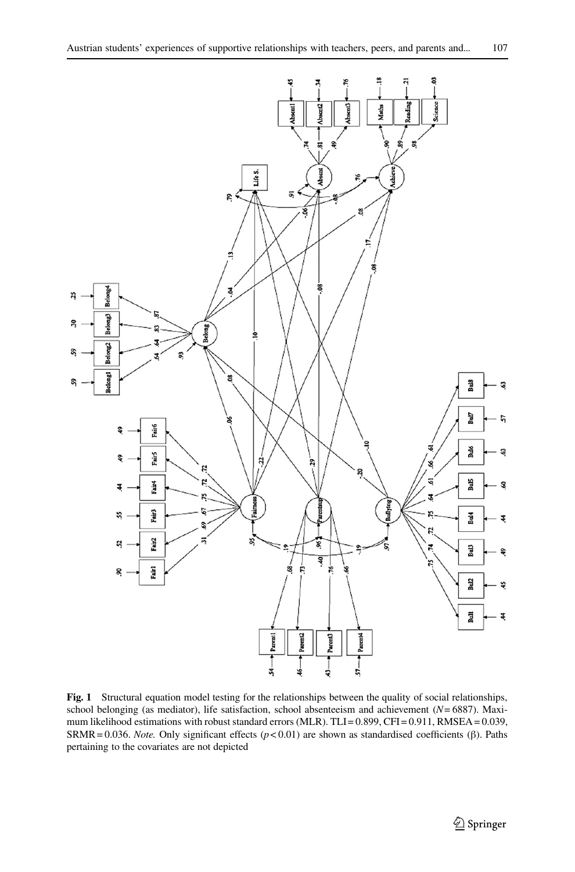

<span id="page-14-0"></span>**Fig. 1** Structural equation model testing for the relationships between the quality of social relationships, school belonging (as mediator), life satisfaction, school absenteeism and achievement (*N*= 6887). Maximum likelihood estimations with robust standard errors (MLR). TLI= 0.899, CFI = 0.911, RMSEA = 0.039, SRMR = 0.036. *Note.* Only significant effects (*p*< 0.01) are shown as standardised coefficients (β). Paths pertaining to the covariates are not depicted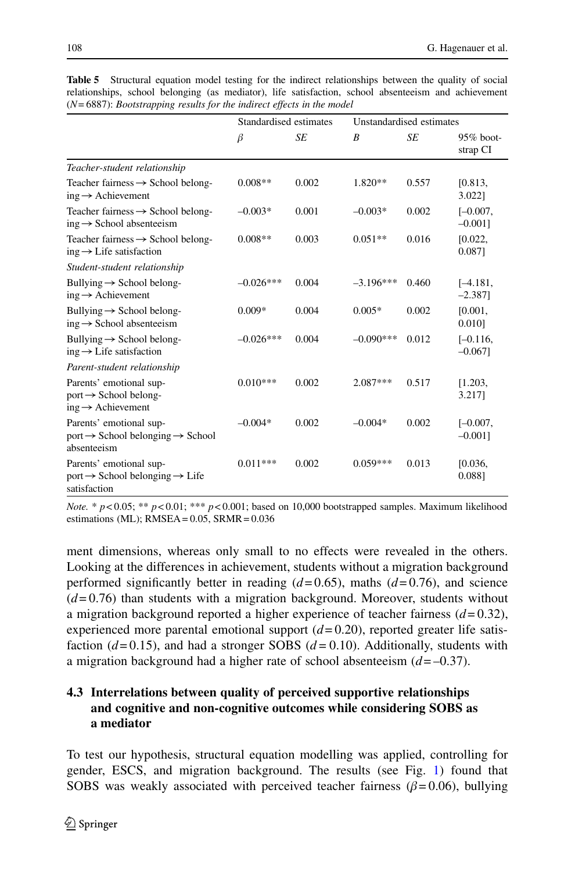<span id="page-15-0"></span>

|                                                                                                    | Standardised estimates |       | Unstandardised estimates |       |                          |
|----------------------------------------------------------------------------------------------------|------------------------|-------|--------------------------|-------|--------------------------|
|                                                                                                    | $\beta$                | SE    | B                        | SE    | $95\%$ boot-<br>strap CI |
| Teacher-student relationship                                                                       |                        |       |                          |       |                          |
| Teacher fairness $\rightarrow$ School belong-<br>$ing \rightarrow$ Achievement                     | $0.008**$              | 0.002 | $1.820**$                | 0.557 | [0.813,<br>3.022]        |
| Teacher fairness $\rightarrow$ School belong-<br>$ing \rightarrow$ School absenteeism              | $-0.003*$              | 0.001 | $-0.003*$                | 0.002 | $[-0.007,$<br>$-0.0011$  |
| Teacher fairness $\rightarrow$ School belong-<br>$ing \rightarrow Life$ satisfaction               | $0.008**$              | 0.003 | $0.051**$                | 0.016 | [0.022,<br>0.0871        |
| Student-student relationship                                                                       |                        |       |                          |       |                          |
| Bullying $\rightarrow$ School belong-<br>$ing \rightarrow$ Achievement                             | $-0.026***$            | 0.004 | $-3.196***$              | 0.460 | $[-4.181,$<br>$-2.387$   |
| Bullying $\rightarrow$ School belong-<br>$ing \rightarrow$ School absenteeism                      | $0.009*$               | 0.004 | $0.005*$                 | 0.002 | [0.001,<br>0.010]        |
| Bullying $\rightarrow$ School belong-<br>$ing \rightarrow Life$ satisfaction                       | $-0.026***$            | 0.004 | $-0.090***$              | 0.012 | $[-0.116,$<br>$-0.067$ ] |
| Parent-student relationship                                                                        |                        |       |                          |       |                          |
| Parents' emotional sup-<br>$port \rightarrow$ School belong-<br>$ing \rightarrow$ Achievement      | $0.010***$             | 0.002 | $2.087***$               | 0.517 | [1.203,<br>3.2171        |
| Parents' emotional sup-<br>$port \rightarrow$ School belonging $\rightarrow$ School<br>absenteeism | $-0.004*$              | 0.002 | $-0.004*$                | 0.002 | $[-0.007,$<br>$-0.0011$  |
| Parents' emotional sup-<br>$port \rightarrow$ School belonging $\rightarrow$ Life<br>satisfaction  | $0.011***$             | 0.002 | $0.059***$               | 0.013 | [0.036,<br>0.0881        |

**Table 5** Structural equation model testing for the indirect relationships between the quality of social relationships, school belonging (as mediator), life satisfaction, school absenteeism and achievement (*N*= 6887): *Bootstrapping results for the indirect effects in the model*

*Note.* \*  $p < 0.05$ ; \*\*  $p < 0.01$ ; \*\*\*  $p < 0.001$ ; based on 10,000 bootstrapped samples. Maximum likelihood estimations (ML);  $RMSEA = 0.05$ ,  $SRMR = 0.036$ 

ment dimensions, whereas only small to no effects were revealed in the others. Looking at the differences in achievement, students without a migration background performed significantly better in reading  $(d=0.65)$ , maths  $(d=0.76)$ , and science (*d*= 0.76) than students with a migration background. Moreover, students without a migration background reported a higher experience of teacher fairness  $(d=0.32)$ , experienced more parental emotional support  $(d=0.20)$ , reported greater life satisfaction (*d*= 0.15), and had a stronger SOBS (*d=* 0.10). Additionally, students with a migration background had a higher rate of school absenteeism (*d*= –0.37).

## **4.3 Interrelations between quality of perceived supportive relationships and cognitive and non-cognitive outcomes while considering SOBS as a mediator**

To test our hypothesis, structural equation modelling was applied, controlling for gender, ESCS, and migration background. The results (see Fig. [1\)](#page-14-0) found that SOBS was weakly associated with perceived teacher fairness ( $\beta$ = 0.06), bullying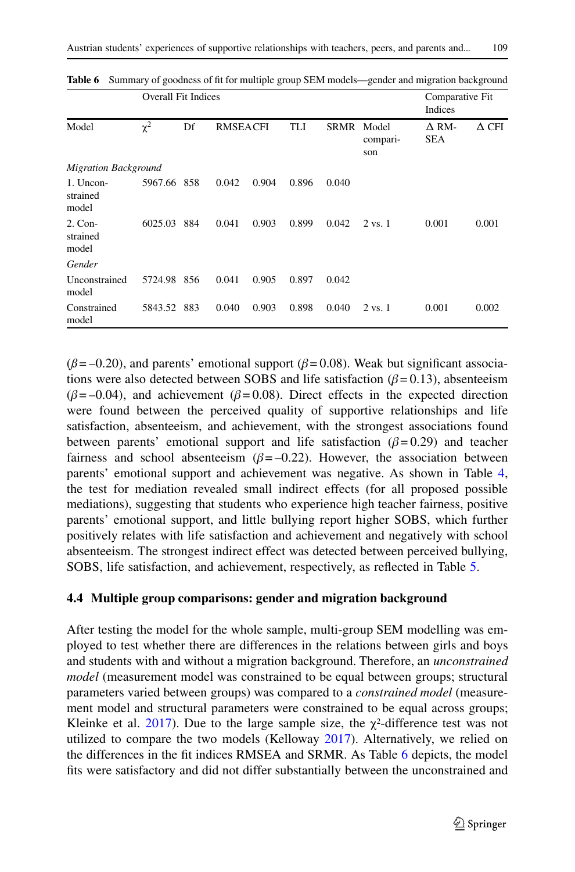|                                | <b>Overall Fit Indices</b> |     |                 | Comparative Fit<br>Indices |       |             |                          |                            |              |
|--------------------------------|----------------------------|-----|-----------------|----------------------------|-------|-------------|--------------------------|----------------------------|--------------|
| Model                          | $\chi^2$                   | Df  | <b>RMSEACFI</b> |                            | TLI   | <b>SRMR</b> | Model<br>compari-<br>son | $\Delta$ RM-<br><b>SEA</b> | $\Delta$ CFI |
| <b>Migration Background</b>    |                            |     |                 |                            |       |             |                          |                            |              |
| 1. Uncon-<br>strained<br>model | 5967.66                    | 858 | 0.042           | 0.904                      | 0.896 | 0.040       |                          |                            |              |
| $2.$ Con-<br>strained<br>model | 6025.03                    | 884 | 0.041           | 0.903                      | 0.899 | 0.042       | $2 \text{ vs. } 1$       | 0.001                      | 0.001        |
| Gender                         |                            |     |                 |                            |       |             |                          |                            |              |
| Unconstrained<br>model         | 5724.98 856                |     | 0.041           | 0.905                      | 0.897 | 0.042       |                          |                            |              |
| Constrained<br>model           | 5843.52 883                |     | 0.040           | 0.903                      | 0.898 | 0.040       | $2 \text{ vs. } 1$       | 0.001                      | 0.002        |

<span id="page-16-0"></span>Table 6 Summary of goodness of fit for multiple group SEM models—gender and migration background

( $\beta$ = –0.20), and parents' emotional support ( $\beta$ = 0.08). Weak but significant associations were also detected between SOBS and life satisfaction  $(\beta = 0.13)$ , absenteeism  $(\beta = -0.04)$ , and achievement  $(\beta = 0.08)$ . Direct effects in the expected direction were found between the perceived quality of supportive relationships and life satisfaction, absenteeism, and achievement, with the strongest associations found between parents' emotional support and life satisfaction  $(\beta = 0.29)$  and teacher fairness and school absenteeism  $(\beta = -0.22)$ . However, the association between parents' emotional support and achievement was negative. As shown in Table [4,](#page-13-0) the test for mediation revealed small indirect effects (for all proposed possible mediations), suggesting that students who experience high teacher fairness, positive parents' emotional support, and little bullying report higher SOBS, which further positively relates with life satisfaction and achievement and negatively with school absenteeism. The strongest indirect effect was detected between perceived bullying, SOBS, life satisfaction, and achievement, respectively, as reflected in Table [5.](#page-15-0)

#### **4.4 Multiple group comparisons: gender and migration background**

After testing the model for the whole sample, multi-group SEM modelling was employed to test whether there are differences in the relations between girls and boys and students with and without a migration background. Therefore, an *unconstrained model* (measurement model was constrained to be equal between groups; structural parameters varied between groups) was compared to a *constrained model* (measurement model and structural parameters were constrained to be equal across groups; Kleinke et al.  $2017$ ). Due to the large sample size, the  $\chi^2$ -difference test was not utilized to compare the two models (Kelloway [2017\)](#page-21-21). Alternatively, we relied on the differences in the fit indices RMSEA and SRMR. As Table [6](#page-16-0) depicts, the model fits were satisfactory and did not differ substantially between the unconstrained and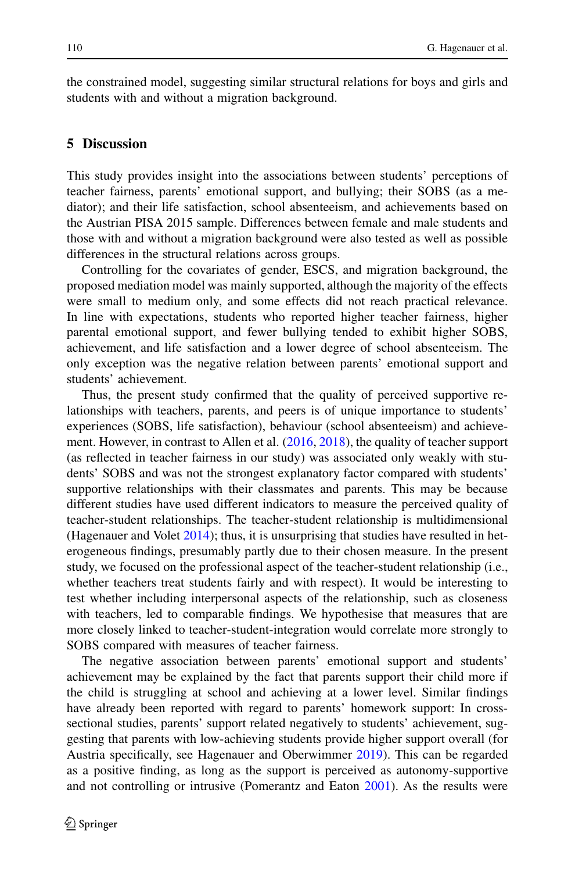the constrained model, suggesting similar structural relations for boys and girls and students with and without a migration background.

## **5 Discussion**

This study provides insight into the associations between students' perceptions of teacher fairness, parents' emotional support, and bullying; their SOBS (as a mediator); and their life satisfaction, school absenteeism, and achievements based on the Austrian PISA 2015 sample. Differences between female and male students and those with and without a migration background were also tested as well as possible differences in the structural relations across groups.

Controlling for the covariates of gender, ESCS, and migration background, the proposed mediation model was mainly supported, although the majority of the effects were small to medium only, and some effects did not reach practical relevance. In line with expectations, students who reported higher teacher fairness, higher parental emotional support, and fewer bullying tended to exhibit higher SOBS, achievement, and life satisfaction and a lower degree of school absenteeism. The only exception was the negative relation between parents' emotional support and students' achievement.

Thus, the present study confirmed that the quality of perceived supportive relationships with teachers, parents, and peers is of unique importance to students' experiences (SOBS, life satisfaction), behaviour (school absenteeism) and achievement. However, in contrast to Allen et al. [\(2016,](#page-20-4) [2018\)](#page-20-3), the quality of teacher support (as reflected in teacher fairness in our study) was associated only weakly with students' SOBS and was not the strongest explanatory factor compared with students' supportive relationships with their classmates and parents. This may be because different studies have used different indicators to measure the perceived quality of teacher-student relationships. The teacher-student relationship is multidimensional (Hagenauer and Volet  $2014$ ); thus, it is unsurprising that studies have resulted in heterogeneous findings, presumably partly due to their chosen measure. In the present study, we focused on the professional aspect of the teacher-student relationship (i.e., whether teachers treat students fairly and with respect). It would be interesting to test whether including interpersonal aspects of the relationship, such as closeness with teachers, led to comparable findings. We hypothesise that measures that are more closely linked to teacher-student-integration would correlate more strongly to SOBS compared with measures of teacher fairness.

The negative association between parents' emotional support and students' achievement may be explained by the fact that parents support their child more if the child is struggling at school and achieving at a lower level. Similar findings have already been reported with regard to parents' homework support: In crosssectional studies, parents' support related negatively to students' achievement, suggesting that parents with low-achieving students provide higher support overall (for Austria specifically, see Hagenauer and Oberwimmer [2019\)](#page-21-24). This can be regarded as a positive finding, as long as the support is perceived as autonomy-supportive and not controlling or intrusive (Pomerantz and Eaton [2001\)](#page-22-22). As the results were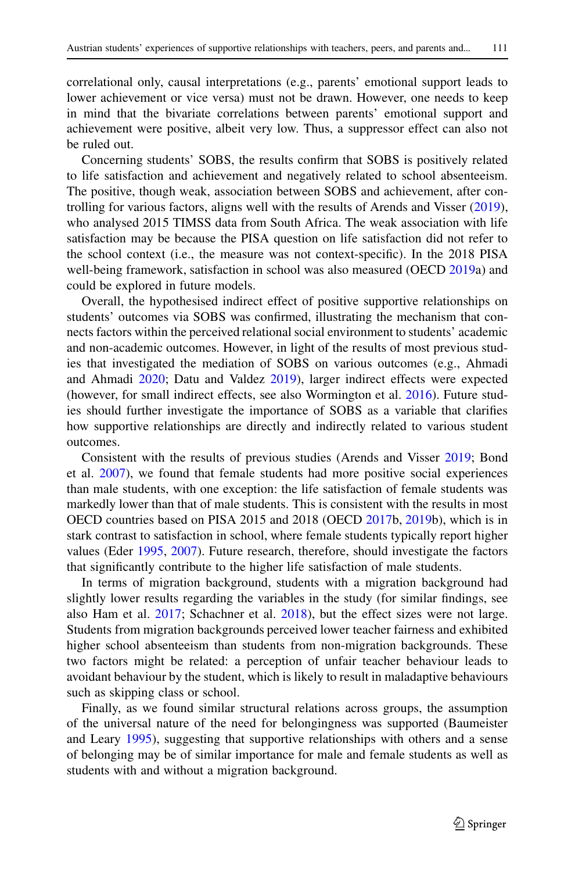correlational only, causal interpretations (e.g., parents' emotional support leads to lower achievement or vice versa) must not be drawn. However, one needs to keep in mind that the bivariate correlations between parents' emotional support and achievement were positive, albeit very low. Thus, a suppressor effect can also not be ruled out.

Concerning students' SOBS, the results confirm that SOBS is positively related to life satisfaction and achievement and negatively related to school absenteeism. The positive, though weak, association between SOBS and achievement, after controlling for various factors, aligns well with the results of Arends and Visser [\(2019\)](#page-20-5), who analysed 2015 TIMSS data from South Africa. The weak association with life satisfaction may be because the PISA question on life satisfaction did not refer to the school context (i.e., the measure was not context-specific). In the 2018 PISA well-being framework, satisfaction in school was also measured (OECD [2019a](#page-22-6)) and could be explored in future models.

Overall, the hypothesised indirect effect of positive supportive relationships on students' outcomes via SOBS was confirmed, illustrating the mechanism that connects factors within the perceived relational social environment to students' academic and non-academic outcomes. However, in light of the results of most previous studies that investigated the mediation of SOBS on various outcomes (e.g., Ahmadi and Ahmadi [2020;](#page-20-1) Datu and Valdez [2019\)](#page-21-14), larger indirect effects were expected (however, for small indirect effects, see also Wormington et al. [2016\)](#page-23-2). Future studies should further investigate the importance of SOBS as a variable that clarifies how supportive relationships are directly and indirectly related to various student outcomes.

Consistent with the results of previous studies (Arends and Visser [2019;](#page-20-5) Bond et al. [2007\)](#page-21-6), we found that female students had more positive social experiences than male students, with one exception: the life satisfaction of female students was markedly lower than that of male students. This is consistent with the results in most OECD countries based on PISA 2015 and 2018 (OECD [2017b](#page-22-23), [2019b](#page-22-24)), which is in stark contrast to satisfaction in school, where female students typically report higher values (Eder [1995,](#page-21-1) [2007\)](#page-21-2). Future research, therefore, should investigate the factors that significantly contribute to the higher life satisfaction of male students.

In terms of migration background, students with a migration background had slightly lower results regarding the variables in the study (for similar findings, see also Ham et al. [2017;](#page-21-10) Schachner et al. [2018\)](#page-22-9), but the effect sizes were not large. Students from migration backgrounds perceived lower teacher fairness and exhibited higher school absenteeism than students from non-migration backgrounds. These two factors might be related: a perception of unfair teacher behaviour leads to avoidant behaviour by the student, which is likely to result in maladaptive behaviours such as skipping class or school.

Finally, as we found similar structural relations across groups, the assumption of the universal nature of the need for belongingness was supported (Baumeister and Leary [1995\)](#page-20-0), suggesting that supportive relationships with others and a sense of belonging may be of similar importance for male and female students as well as students with and without a migration background.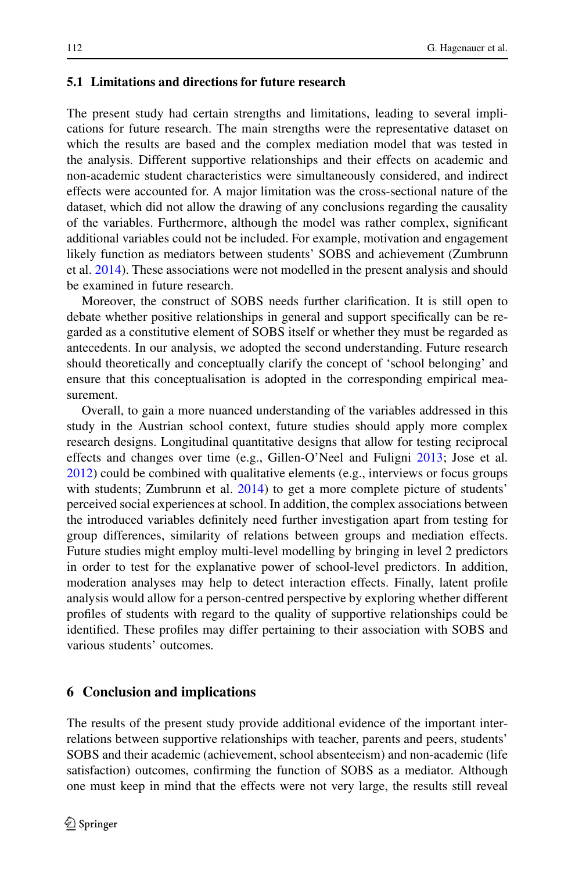## **5.1 Limitations and directions for future research**

The present study had certain strengths and limitations, leading to several implications for future research. The main strengths were the representative dataset on which the results are based and the complex mediation model that was tested in the analysis. Different supportive relationships and their effects on academic and non-academic student characteristics were simultaneously considered, and indirect effects were accounted for. A major limitation was the cross-sectional nature of the dataset, which did not allow the drawing of any conclusions regarding the causality of the variables. Furthermore, although the model was rather complex, significant additional variables could not be included. For example, motivation and engagement likely function as mediators between students' SOBS and achievement (Zumbrunn et al. [2014\)](#page-23-1). These associations were not modelled in the present analysis and should be examined in future research.

Moreover, the construct of SOBS needs further clarification. It is still open to debate whether positive relationships in general and support specifically can be regarded as a constitutive element of SOBS itself or whether they must be regarded as antecedents. In our analysis, we adopted the second understanding. Future research should theoretically and conceptually clarify the concept of 'school belonging' and ensure that this conceptualisation is adopted in the corresponding empirical measurement.

Overall, to gain a more nuanced understanding of the variables addressed in this study in the Austrian school context, future studies should apply more complex research designs. Longitudinal quantitative designs that allow for testing reciprocal effects and changes over time (e.g., Gillen-O'Neel and Fuligni [2013;](#page-21-8) Jose et al. [2012\)](#page-21-12) could be combined with qualitative elements (e.g., interviews or focus groups with students; Zumbrunn et al. [2014\)](#page-23-1) to get a more complete picture of students' perceived social experiences at school. In addition, the complex associations between the introduced variables definitely need further investigation apart from testing for group differences, similarity of relations between groups and mediation effects. Future studies might employ multi-level modelling by bringing in level 2 predictors in order to test for the explanative power of school-level predictors. In addition, moderation analyses may help to detect interaction effects. Finally, latent profile analysis would allow for a person-centred perspective by exploring whether different profiles of students with regard to the quality of supportive relationships could be identified. These profiles may differ pertaining to their association with SOBS and various students' outcomes.

## **6 Conclusion and implications**

The results of the present study provide additional evidence of the important interrelations between supportive relationships with teacher, parents and peers, students' SOBS and their academic (achievement, school absenteeism) and non-academic (life satisfaction) outcomes, confirming the function of SOBS as a mediator. Although one must keep in mind that the effects were not very large, the results still reveal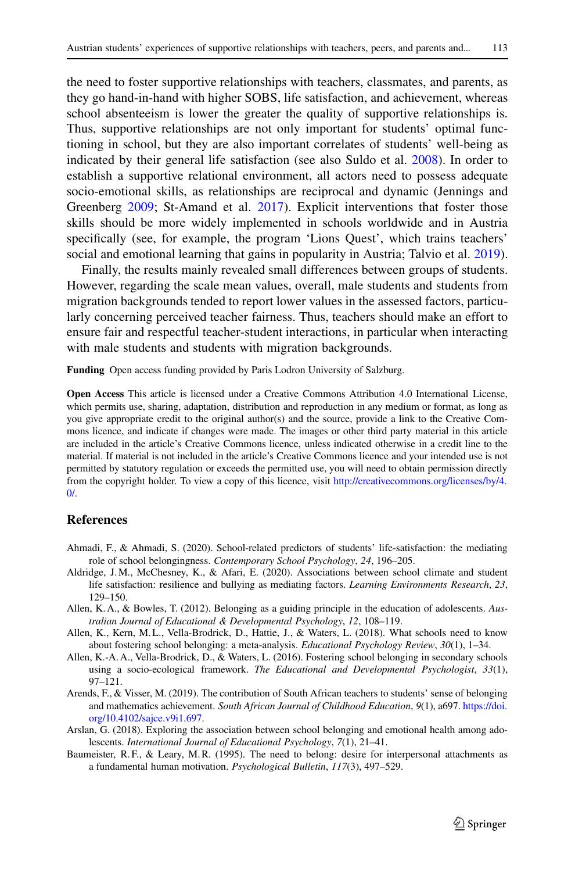the need to foster supportive relationships with teachers, classmates, and parents, as they go hand-in-hand with higher SOBS, life satisfaction, and achievement, whereas school absenteeism is lower the greater the quality of supportive relationships is. Thus, supportive relationships are not only important for students' optimal functioning in school, but they are also important correlates of students' well-being as indicated by their general life satisfaction (see also Suldo et al. [2008\)](#page-22-14). In order to establish a supportive relational environment, all actors need to possess adequate socio-emotional skills, as relationships are reciprocal and dynamic (Jennings and Greenberg [2009;](#page-21-25) St-Amand et al. [2017\)](#page-22-25). Explicit interventions that foster those skills should be more widely implemented in schools worldwide and in Austria specifically (see, for example, the program 'Lions Quest', which trains teachers' social and emotional learning that gains in popularity in Austria; Talvio et al. [2019\)](#page-22-26).

Finally, the results mainly revealed small differences between groups of students. However, regarding the scale mean values, overall, male students and students from migration backgrounds tended to report lower values in the assessed factors, particularly concerning perceived teacher fairness. Thus, teachers should make an effort to ensure fair and respectful teacher-student interactions, in particular when interacting with male students and students with migration backgrounds.

**Funding** Open access funding provided by Paris Lodron University of Salzburg.

**Open Access** This article is licensed under a Creative Commons Attribution 4.0 International License, which permits use, sharing, adaptation, distribution and reproduction in any medium or format, as long as you give appropriate credit to the original author(s) and the source, provide a link to the Creative Commons licence, and indicate if changes were made. The images or other third party material in this article are included in the article's Creative Commons licence, unless indicated otherwise in a credit line to the material. If material is not included in the article's Creative Commons licence and your intended use is not permitted by statutory regulation or exceeds the permitted use, you will need to obtain permission directly from the copyright holder. To view a copy of this licence, visit [http://creativecommons.org/licenses/by/4.](http://creativecommons.org/licenses/by/4.0/)  $\Omega$ 

## **References**

- <span id="page-20-1"></span>Ahmadi, F., & Ahmadi, S. (2020). School-related predictors of students' life-satisfaction: the mediating role of school belongingness. *Contemporary School Psychology*, *24*, 196–205.
- <span id="page-20-7"></span>Aldridge, J.M., McChesney, K., & Afari, E. (2020). Associations between school climate and student life satisfaction: resilience and bullying as mediating factors. *Learning Environments Research*, *23*, 129–150.
- <span id="page-20-3"></span><span id="page-20-2"></span>Allen, K. A., & Bowles, T. (2012). Belonging as a guiding principle in the education of adolescents. *Australian Journal of Educational & Developmental Psychology*, *12*, 108–119.
- Allen, K., Kern, M. L., Vella-Brodrick, D., Hattie, J., & Waters, L. (2018). What schools need to know about fostering school belonging: a meta-analysis. *Educational Psychology Review*, *30*(1), 1–34.
- <span id="page-20-4"></span>Allen, K.-A. A., Vella-Brodrick, D., & Waters, L. (2016). Fostering school belonging in secondary schools using a socio-ecological framework. *The Educational and Developmental Psychologist*, *33*(1), 97–121.
- <span id="page-20-5"></span>Arends, F., & Visser, M. (2019). The contribution of South African teachers to students' sense of belonging and mathematics achievement. *South African Journal of Childhood Education*, *9*(1), a697. [https://doi.](https://doi.org/10.4102/sajce.v9i1.697) [org/10.4102/sajce.v9i1.697.](https://doi.org/10.4102/sajce.v9i1.697)
- <span id="page-20-6"></span>Arslan, G. (2018). Exploring the association between school belonging and emotional health among adolescents. *International Journal of Educational Psychology*, *7*(1), 21–41.
- <span id="page-20-0"></span>Baumeister, R.F., & Leary, M.R. (1995). The need to belong: desire for interpersonal attachments as a fundamental human motivation. *Psychological Bulletin*, *117*(3), 497–529.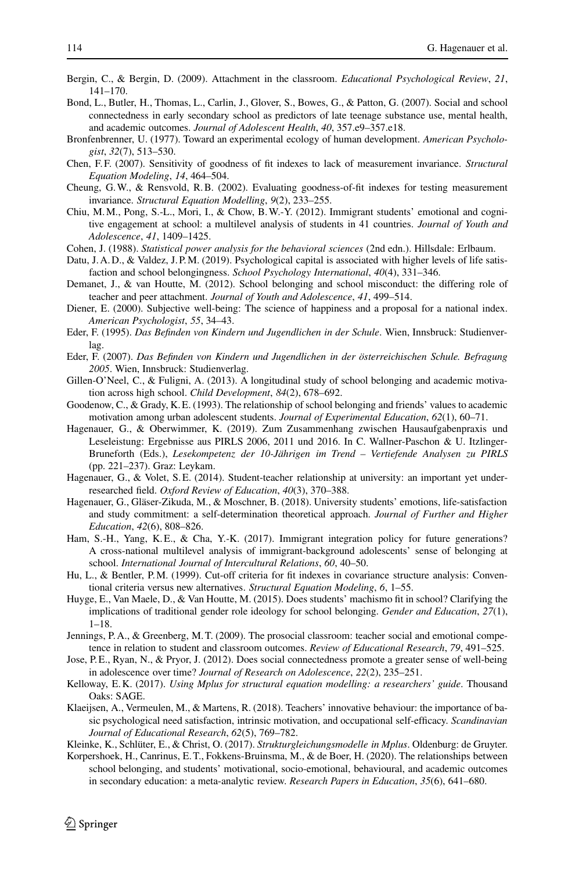- <span id="page-21-11"></span><span id="page-21-6"></span>Bergin, C., & Bergin, D. (2009). Attachment in the classroom. *Educational Psychological Review*, *21*, 141–170.
- Bond, L., Butler, H., Thomas, L., Carlin, J., Glover, S., Bowes, G., & Patton, G. (2007). Social and school connectedness in early secondary school as predictors of late teenage substance use, mental health, and academic outcomes. *Journal of Adolescent Health*, *40*, 357.e9–357.e18.
- <span id="page-21-5"></span>Bronfenbrenner, U. (1977). Toward an experimental ecology of human development. *American Psychologist*, *32*(7), 513–530.
- <span id="page-21-20"></span><span id="page-21-19"></span>Chen, F. F. (2007). Sensitivity of goodness of fit indexes to lack of measurement invariance. *Structural Equation Modeling*, *14*, 464–504.
- <span id="page-21-7"></span>Cheung, G.W., & Rensvold, R.B. (2002). Evaluating goodness-of-fit indexes for testing measurement invariance. *Structural Equation Modelling*, *9*(2), 233–255.
- Chiu, M.M., Pong, S.-L., Mori, I., & Chow, B.W.-Y. (2012). Immigrant students' emotional and cognitive engagement at school: a multilevel analysis of students in 41 countries. *Journal of Youth and Adolescence*, *41*, 1409–1425.
- <span id="page-21-18"></span><span id="page-21-14"></span>Cohen, J. (1988). *Statistical power analysis for the behavioral sciences* (2nd edn.). Hillsdale: Erlbaum.
- <span id="page-21-16"></span>Datu, J. A. D., & Valdez, J. P. M. (2019). Psychological capital is associated with higher levels of life satisfaction and school belongingness. *School Psychology International*, *40*(4), 331–346.
- Demanet, J., & van Houtte, M. (2012). School belonging and school misconduct: the differing role of teacher and peer attachment. *Journal of Youth and Adolescence*, *41*, 499–514.
- <span id="page-21-13"></span>Diener, E. (2000). Subjective well-being: The science of happiness and a proposal for a national index. *American Psychologist*, *55*, 34–43.
- <span id="page-21-1"></span>Eder, F. (1995). *Das Befinden von Kindern und Jugendlichen in der Schule*. Wien, Innsbruck: Studienverlag.
- <span id="page-21-8"></span><span id="page-21-2"></span>Eder, F. (2007). *Das Befinden von Kindern und Jugendlichen in der österreichischen Schule. Befragung 2005*. Wien, Innsbruck: Studienverlag.
- Gillen-O'Neel, C., & Fuligni, A. (2013). A longitudinal study of school belonging and academic motivation across high school. *Child Development*, *84*(2), 678–692.
- <span id="page-21-24"></span><span id="page-21-0"></span>Goodenow, C., & Grady, K. E. (1993). The relationship of school belonging and friends' values to academic motivation among urban adolescent students. *Journal of Experimental Education*, *62*(1), 60–71.
- Hagenauer, G., & Oberwimmer, K. (2019). Zum Zusammenhang zwischen Hausaufgabenpraxis und Leseleistung: Ergebnisse aus PIRLS 2006, 2011 und 2016. In C. Wallner-Paschon & U. Itzlinger-Bruneforth (Eds.), *Lesekompetenz der 10-Jährigen im Trend – Vertiefende Analysen zu PIRLS* (pp. 221–237). Graz: Leykam.
- <span id="page-21-23"></span>Hagenauer, G., & Volet, S.E. (2014). Student-teacher relationship at university: an important yet underresearched field. *Oxford Review of Education*, *40*(3), 370–388.
- <span id="page-21-15"></span>Hagenauer, G., Gläser-Zikuda, M., & Moschner, B. (2018). University students' emotions, life-satisfaction and study commitment: a self-determination theoretical approach. *Journal of Further and Higher Education*, *42*(6), 808–826.
- <span id="page-21-10"></span>Ham, S.-H., Yang, K.E., & Cha, Y.-K. (2017). Immigrant integration policy for future generations? A cross-national multilevel analysis of immigrant-background adolescents' sense of belonging at school. *International Journal of Intercultural Relations*, *60*, 40–50.
- <span id="page-21-17"></span>Hu, L., & Bentler, P.M. (1999). Cut-off criteria for fit indexes in covariance structure analysis: Conventional criteria versus new alternatives. *Structural Equation Modeling*, *6*, 1–55.
- <span id="page-21-9"></span>Huyge, E., Van Maele, D., & Van Houtte, M. (2015). Does students' machismo fit in school? Clarifying the implications of traditional gender role ideology for school belonging. *Gender and Education*, *27*(1), 1–18.
- <span id="page-21-25"></span>Jennings, P. A., & Greenberg, M. T. (2009). The prosocial classroom: teacher social and emotional competence in relation to student and classroom outcomes. *Review of Educational Research*, *79*, 491–525.
- <span id="page-21-12"></span>Jose, P. E., Ryan, N., & Pryor, J. (2012). Does social connectedness promote a greater sense of well-being in adolescence over time? *Journal of Research on Adolescence*, *22*(2), 235–251.
- <span id="page-21-21"></span>Kelloway, E. K. (2017). *Using Mplus for structural equation modelling: a researchers' guide*. Thousand Oaks: SAGE.
- <span id="page-21-3"></span>Klaeijsen, A., Vermeulen, M., & Martens, R. (2018). Teachers' innovative behaviour: the importance of basic psychological need satisfaction, intrinsic motivation, and occupational self-efficacy. *Scandinavian Journal of Educational Research*, *62*(5), 769–782.
- <span id="page-21-22"></span><span id="page-21-4"></span>Kleinke, K., Schlüter, E., & Christ, O. (2017). *Strukturgleichungsmodelle in Mplus*. Oldenburg: de Gruyter.
- Korpershoek, H., Canrinus, E. T., Fokkens-Bruinsma, M., & de Boer, H. (2020). The relationships between school belonging, and students' motivational, socio-emotional, behavioural, and academic outcomes in secondary education: a meta-analytic review. *Research Papers in Education*, *35*(6), 641–680.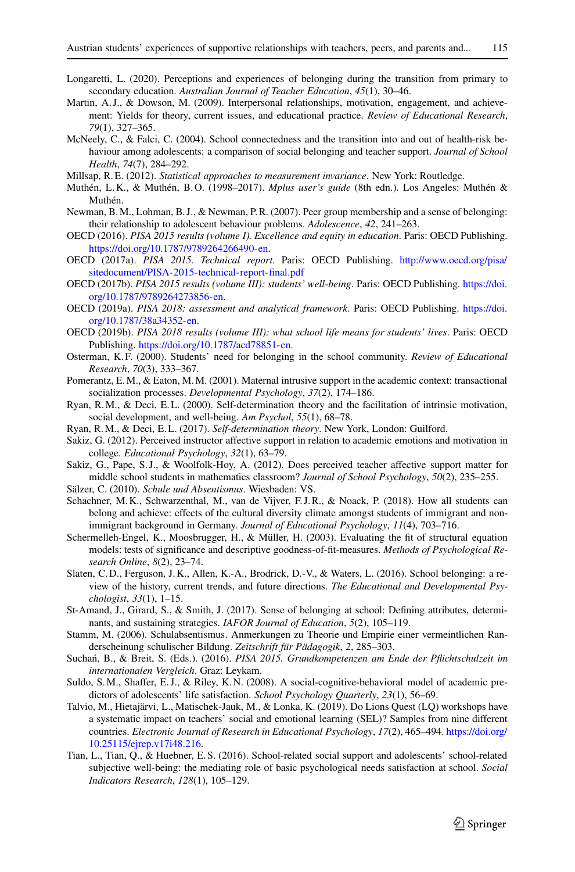- <span id="page-22-8"></span><span id="page-22-4"></span>Longaretti, L. (2020). Perceptions and experiences of belonging during the transition from primary to secondary education. *Australian Journal of Teacher Education*, *45*(1), 30–46.
- Martin, A. J., & Dowson, M. (2009). Interpersonal relationships, motivation, engagement, and achievement: Yields for theory, current issues, and educational practice. *Review of Educational Research*, *79*(1), 327–365.
- <span id="page-22-10"></span>McNeely, C., & Falci, C. (2004). School connectedness and the transition into and out of health-risk behaviour among adolescents: a comparison of social belonging and teacher support. *Journal of School Health*, *74*(7), 284–292.
- <span id="page-22-20"></span><span id="page-22-19"></span>Millsap, R. E. (2012). *Statistical approaches to measurement invariance*. New York: Routledge.
- <span id="page-22-13"></span>Muthén, L. K., & Muthén, B. O. (1998–2017). *Mplus user's guide* (8th edn.). Los Angeles: Muthén & Muthén.
- Newman, B.M., Lohman, B. J., & Newman, P.R. (2007). Peer group membership and a sense of belonging: their relationship to adolescent behaviour problems. *Adolescence*, *42*, 241–263.
- <span id="page-22-18"></span><span id="page-22-16"></span>OECD (2016). *PISA 2015 results (volume I). Excellence and equity in education*. Paris: OECD Publishing. [https://doi.org/10.1787/9789264266490-en.](https://doi.org/10.1787/9789264266490-en)
- OECD (2017a). *PISA 2015. Technical report*. Paris: OECD Publishing. [http://www.oecd.org/pisa/](http://www.oecd.org/pisa/sitedocument/PISA-2015-technical-report-final.pdf) [sitedocument/PISA-2015-technical-report-final.pdf](http://www.oecd.org/pisa/sitedocument/PISA-2015-technical-report-final.pdf)
- <span id="page-22-23"></span>OECD (2017b). *PISA 2015 results (volume III): students' well-being*. Paris: OECD Publishing. [https://doi.](https://doi.org/10.1787/9789264273856-en) [org/10.1787/9789264273856-en.](https://doi.org/10.1787/9789264273856-en)
- <span id="page-22-6"></span>OECD (2019a). *PISA 2018: assessment and analytical framework*. Paris: OECD Publishing. [https://doi.](https://doi.org/10.1787/38a34352-en) [org/10.1787/38a34352-en.](https://doi.org/10.1787/38a34352-en)
- <span id="page-22-24"></span>OECD (2019b). *PISA 2018 results (volume III): what school life means for students' lives*. Paris: OECD Publishing. [https://doi.org/10.1787/acd78851-en.](https://doi.org/10.1787/acd78851-en)
- <span id="page-22-22"></span><span id="page-22-3"></span>Osterman, K. F. (2000). Students' need for belonging in the school community. *Review of Educational Research*, *70*(3), 333–367.
- Pomerantz, E.M., & Eaton, M.M. (2001). Maternal intrusive support in the academic context: transactional socialization processes. *Developmental Psychology*, *37*(2), 174–186.
- <span id="page-22-1"></span><span id="page-22-0"></span>Ryan, R.M., & Deci, E. L. (2000). Self-determination theory and the facilitation of intrinsic motivation, social development, and well-being. *Am Psychol*, *55*(1), 68–78.
- <span id="page-22-5"></span>Ryan, R.M., & Deci, E. L. (2017). *Self-determination theory*. New York, London: Guilford.
- Sakiz, G. (2012). Perceived instructor affective support in relation to academic emotions and motivation in college. *Educational Psychology*, *32*(1), 63–79.
- <span id="page-22-17"></span>Sakiz, G., Pape, S. J., & Woolfolk-Hoy, A. (2012). Does perceived teacher affective support matter for middle school students in mathematics classroom? *Journal of School Psychology*, *50*(2), 235–255.
- <span id="page-22-11"></span><span id="page-22-9"></span>Sälzer, C. (2010). *Schule und Absentismus*. Wiesbaden: VS.
- Schachner, M. K., Schwarzenthal, M., van de Vijver, F. J. R., & Noack, P. (2018). How all students can belong and achieve: effects of the cultural diversity climate amongst students of immigrant and nonimmigrant background in Germany. *Journal of Educational Psychology*, *11*(4), 703–716.
- <span id="page-22-21"></span>Schermelleh-Engel, K., Moosbrugger, H., & Müller, H. (2003). Evaluating the fit of structural equation models: tests of significance and descriptive goodness-of-fit-measures. *Methods of Psychological Research Online*, *8*(2), 23–74.
- <span id="page-22-7"></span>Slaten, C. D., Ferguson, J. K., Allen, K.-A., Brodrick, D.-V., & Waters, L. (2016). School belonging: a review of the history, current trends, and future directions. *The Educational and Developmental Psychologist*, *33*(1), 1–15.
- <span id="page-22-25"></span><span id="page-22-12"></span>St-Amand, J., Girard, S., & Smith, J. (2017). Sense of belonging at school: Defining attributes, determinants, and sustaining strategies. *IAFOR Journal of Education*, *5*(2), 105–119.
- <span id="page-22-15"></span>Stamm, M. (2006). Schulabsentismus. Anmerkungen zu Theorie und Empirie einer vermeintlichen Randerscheinung schulischer Bildung. *Zeitschrift für Pädagogik*, *2*, 285–303.
- <span id="page-22-14"></span>Suchań, B., & Breit, S. (Eds.). (2016). *PISA 2015. Grundkompetenzen am Ende der Pflichtschulzeit im internationalen Vergleich*. Graz: Leykam.
- Suldo, S.M., Shaffer, E.J., & Riley, K.N. (2008). A social-cognitive-behavioral model of academic predictors of adolescents' life satisfaction. *School Psychology Quarterly*, *23*(1), 56–69.
- <span id="page-22-26"></span>Talvio, M., Hietajärvi, L., Matischek-Jauk, M., & Lonka, K. (2019). Do Lions Quest (LQ) workshops have a systematic impact on teachers' social and emotional learning (SEL)? Samples from nine different countries. *Electronic Journal of Research in Educational Psychology*, *17*(2), 465–494. [https://doi.org/](https://doi.org/10.25115/ejrep.v17i48.216) [10.25115/ejrep.v17i48.216.](https://doi.org/10.25115/ejrep.v17i48.216)
- <span id="page-22-2"></span>Tian, L., Tian, Q., & Huebner, E. S. (2016). School-related social support and adolescents' school-related subjective well-being: the mediating role of basic psychological needs satisfaction at school. *Social Indicators Research*, *128*(1), 105–129.